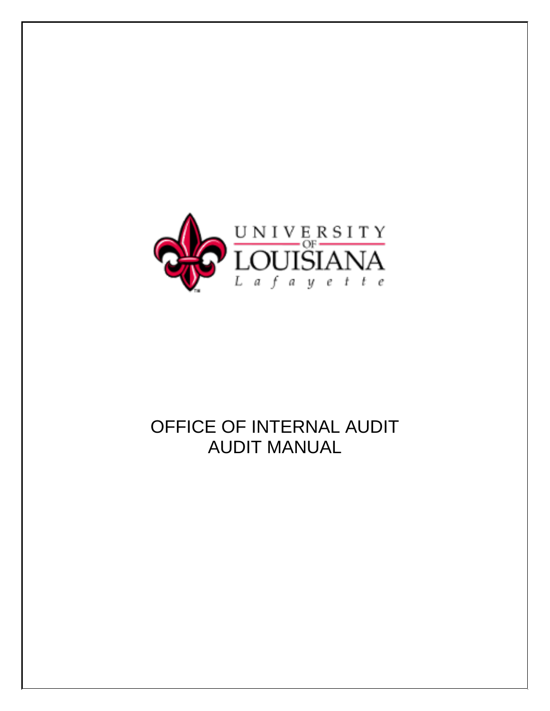

# OFFICE OF INTERNAL AUDIT AUDIT MANUAL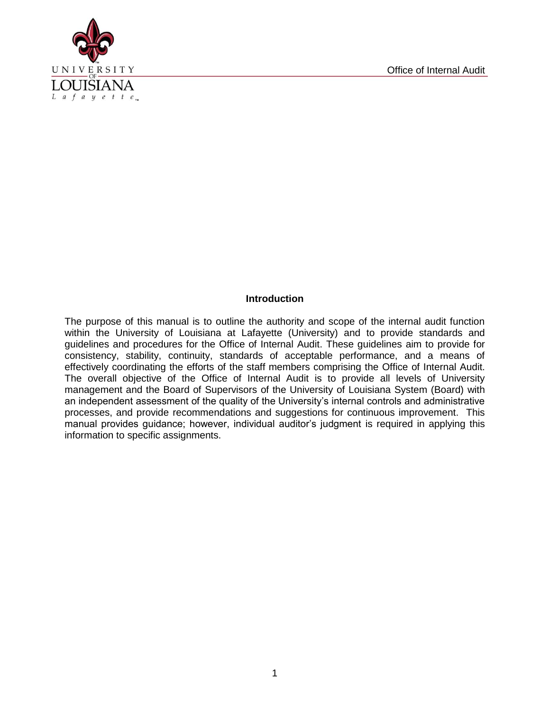Office of Internal Audit



#### **Introduction**

<span id="page-1-0"></span>The purpose of this manual is to outline the authority and scope of the internal audit function within the University of Louisiana at Lafayette (University) and to provide standards and guidelines and procedures for the Office of Internal Audit. These guidelines aim to provide for consistency, stability, continuity, standards of acceptable performance, and a means of effectively coordinating the efforts of the staff members comprising the Office of Internal Audit. The overall objective of the Office of Internal Audit is to provide all levels of University management and the Board of Supervisors of the University of Louisiana System (Board) with an independent assessment of the quality of the University's internal controls and administrative processes, and provide recommendations and suggestions for continuous improvement. This manual provides guidance; however, individual auditor's judgment is required in applying this information to specific assignments.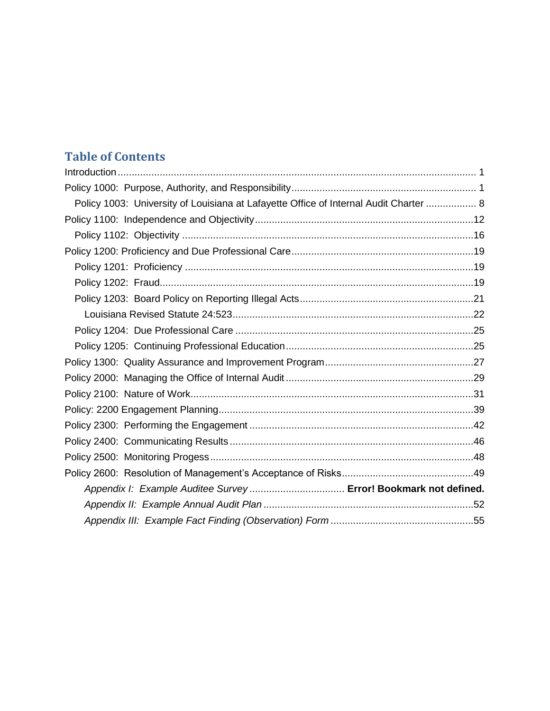## **Table of Contents**

| Policy 1003: University of Louisiana at Lafayette Office of Internal Audit Charter  8 |  |
|---------------------------------------------------------------------------------------|--|
|                                                                                       |  |
|                                                                                       |  |
|                                                                                       |  |
|                                                                                       |  |
|                                                                                       |  |
|                                                                                       |  |
|                                                                                       |  |
|                                                                                       |  |
|                                                                                       |  |
|                                                                                       |  |
|                                                                                       |  |
|                                                                                       |  |
|                                                                                       |  |
|                                                                                       |  |
|                                                                                       |  |
|                                                                                       |  |
|                                                                                       |  |
| Appendix I: Example Auditee Survey Error! Bookmark not defined.                       |  |
|                                                                                       |  |
|                                                                                       |  |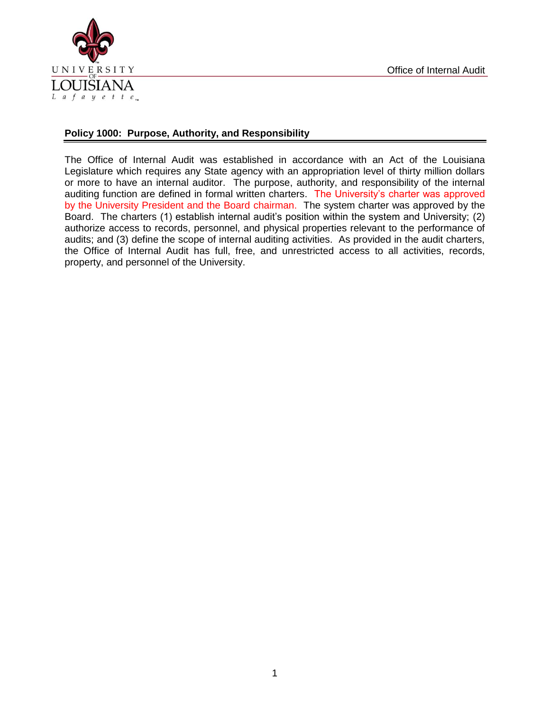

## <span id="page-3-0"></span>**Policy 1000: Purpose, Authority, and Responsibility**

The Office of Internal Audit was established in accordance with an Act of the Louisiana Legislature which requires any State agency with an appropriation level of thirty million dollars or more to have an internal auditor. The purpose, authority, and responsibility of the internal auditing function are defined in formal written charters. The University's charter was approved by the University President and the Board chairman. The system charter was approved by the Board. The charters (1) establish internal audit's position within the system and University; (2) authorize access to records, personnel, and physical properties relevant to the performance of audits; and (3) define the scope of internal auditing activities. As provided in the audit charters, the Office of Internal Audit has full, free, and unrestricted access to all activities, records, property, and personnel of the University.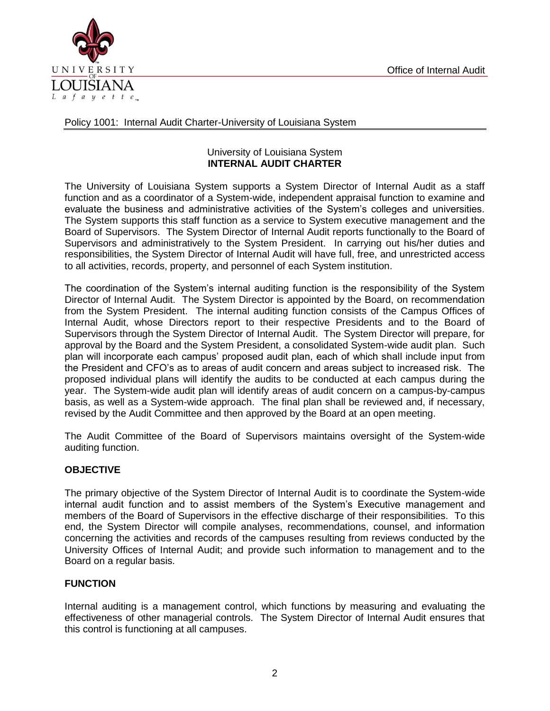

Policy 1001: Internal Audit Charter-University of Louisiana System

## University of Louisiana System **INTERNAL AUDIT CHARTER**

The University of Louisiana System supports a System Director of Internal Audit as a staff function and as a coordinator of a System-wide, independent appraisal function to examine and evaluate the business and administrative activities of the System's colleges and universities. The System supports this staff function as a service to System executive management and the Board of Supervisors. The System Director of Internal Audit reports functionally to the Board of Supervisors and administratively to the System President. In carrying out his/her duties and responsibilities, the System Director of Internal Audit will have full, free, and unrestricted access to all activities, records, property, and personnel of each System institution.

The coordination of the System's internal auditing function is the responsibility of the System Director of Internal Audit. The System Director is appointed by the Board, on recommendation from the System President. The internal auditing function consists of the Campus Offices of Internal Audit, whose Directors report to their respective Presidents and to the Board of Supervisors through the System Director of Internal Audit. The System Director will prepare, for approval by the Board and the System President, a consolidated System-wide audit plan. Such plan will incorporate each campus' proposed audit plan, each of which shall include input from the President and CFO's as to areas of audit concern and areas subject to increased risk. The proposed individual plans will identify the audits to be conducted at each campus during the year. The System-wide audit plan will identify areas of audit concern on a campus-by-campus basis, as well as a System-wide approach. The final plan shall be reviewed and, if necessary, revised by the Audit Committee and then approved by the Board at an open meeting.

The Audit Committee of the Board of Supervisors maintains oversight of the System-wide auditing function.

## **OBJECTIVE**

The primary objective of the System Director of Internal Audit is to coordinate the System-wide internal audit function and to assist members of the System's Executive management and members of the Board of Supervisors in the effective discharge of their responsibilities. To this end, the System Director will compile analyses, recommendations, counsel, and information concerning the activities and records of the campuses resulting from reviews conducted by the University Offices of Internal Audit; and provide such information to management and to the Board on a regular basis.

## **FUNCTION**

Internal auditing is a management control, which functions by measuring and evaluating the effectiveness of other managerial controls. The System Director of Internal Audit ensures that this control is functioning at all campuses.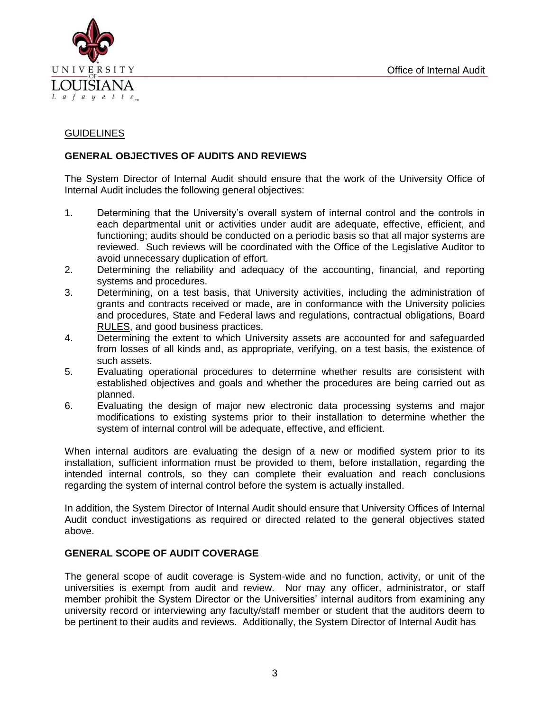

## **GUIDELINES**

## **GENERAL OBJECTIVES OF AUDITS AND REVIEWS**

The System Director of Internal Audit should ensure that the work of the University Office of Internal Audit includes the following general objectives:

- 1. Determining that the University's overall system of internal control and the controls in each departmental unit or activities under audit are adequate, effective, efficient, and functioning; audits should be conducted on a periodic basis so that all major systems are reviewed. Such reviews will be coordinated with the Office of the Legislative Auditor to avoid unnecessary duplication of effort.
- 2. Determining the reliability and adequacy of the accounting, financial, and reporting systems and procedures.
- 3. Determining, on a test basis, that University activities, including the administration of grants and contracts received or made, are in conformance with the University policies and procedures, State and Federal laws and regulations, contractual obligations, Board RULES, and good business practices.
- 4. Determining the extent to which University assets are accounted for and safeguarded from losses of all kinds and, as appropriate, verifying, on a test basis, the existence of such assets.
- 5. Evaluating operational procedures to determine whether results are consistent with established objectives and goals and whether the procedures are being carried out as planned.
- 6. Evaluating the design of major new electronic data processing systems and major modifications to existing systems prior to their installation to determine whether the system of internal control will be adequate, effective, and efficient.

When internal auditors are evaluating the design of a new or modified system prior to its installation, sufficient information must be provided to them, before installation, regarding the intended internal controls, so they can complete their evaluation and reach conclusions regarding the system of internal control before the system is actually installed.

In addition, the System Director of Internal Audit should ensure that University Offices of Internal Audit conduct investigations as required or directed related to the general objectives stated above.

#### **GENERAL SCOPE OF AUDIT COVERAGE**

The general scope of audit coverage is System-wide and no function, activity, or unit of the universities is exempt from audit and review. Nor may any officer, administrator, or staff member prohibit the System Director or the Universities' internal auditors from examining any university record or interviewing any faculty/staff member or student that the auditors deem to be pertinent to their audits and reviews. Additionally, the System Director of Internal Audit has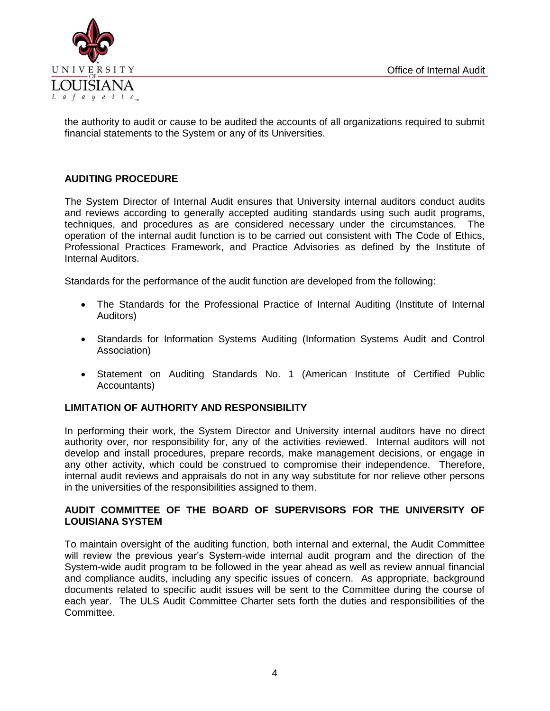

the authority to audit or cause to be audited the accounts of all organizations required to submit financial statements to the System or any of its Universities.

## **AUDITING PROCEDURE**

The System Director of Internal Audit ensures that University internal auditors conduct audits and reviews according to generally accepted auditing standards using such audit programs, techniques, and procedures as are considered necessary under the circumstances. The operation of the internal audit function is to be carried out consistent with The Code of Ethics, Professional Practices Framework, and Practice Advisories as defined by the Institute of Internal Auditors.

Standards for the performance of the audit function are developed from the following:

- The Standards for the Professional Practice of Internal Auditing (Institute of Internal Auditors)
- Standards for Information Systems Auditing (Information Systems Audit and Control Association)
- Statement on Auditing Standards No. 1 (American Institute of Certified Public Accountants)

#### **LIMITATION OF AUTHORITY AND RESPONSIBILITY**

In performing their work, the System Director and University internal auditors have no direct authority over, nor responsibility for, any of the activities reviewed. Internal auditors will not develop and install procedures, prepare records, make management decisions, or engage in any other activity, which could be construed to compromise their independence. Therefore, internal audit reviews and appraisals do not in any way substitute for nor relieve other persons in the universities of the responsibilities assigned to them.

#### **AUDIT COMMITTEE OF THE BOARD OF SUPERVISORS FOR THE UNIVERSITY OF LOUISIANA SYSTEM**

To maintain oversight of the auditing function, both internal and external, the Audit Committee will review the previous year's System-wide internal audit program and the direction of the System-wide audit program to be followed in the year ahead as well as review annual financial and compliance audits, including any specific issues of concern. As appropriate, background documents related to specific audit issues will be sent to the Committee during the course of each year. The ULS Audit Committee Charter sets forth the duties and responsibilities of the Committee.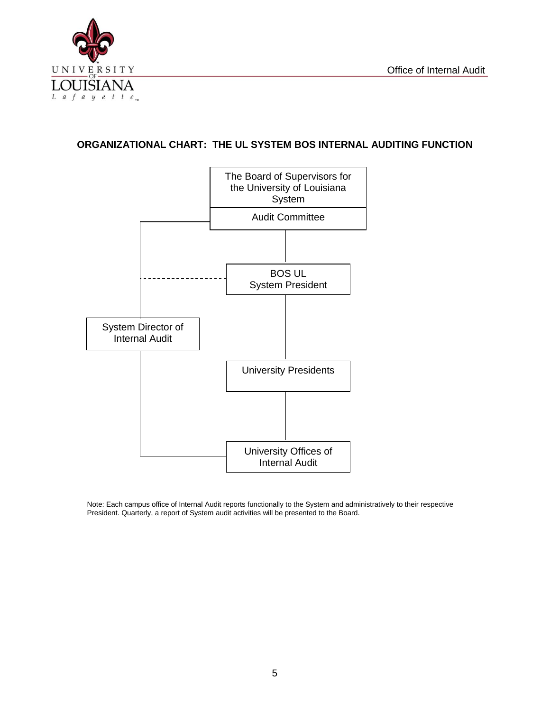

## **ORGANIZATIONAL CHART: THE UL SYSTEM BOS INTERNAL AUDITING FUNCTION**



Note: Each campus office of Internal Audit reports functionally to the System and administratively to their respective President. Quarterly, a report of System audit activities will be presented to the Board.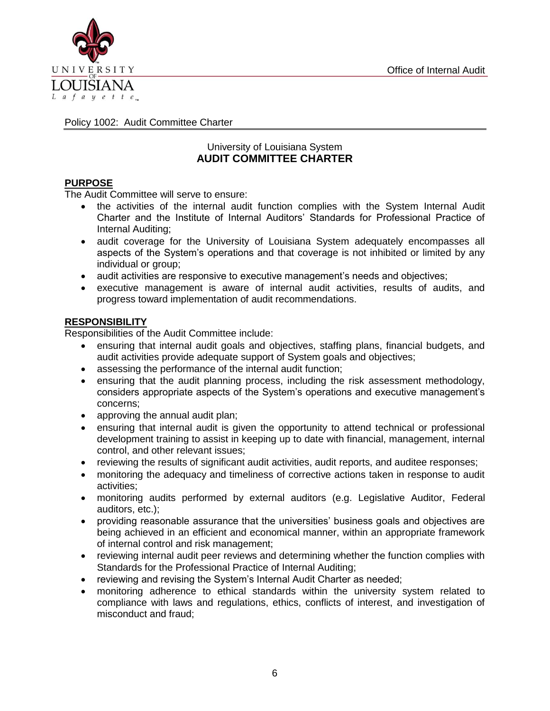

Policy 1002: Audit Committee Charter

#### University of Louisiana System **AUDIT COMMITTEE CHARTER**

## **PURPOSE**

The Audit Committee will serve to ensure:

- the activities of the internal audit function complies with the System Internal Audit Charter and the Institute of Internal Auditors' Standards for Professional Practice of Internal Auditing;
- audit coverage for the University of Louisiana System adequately encompasses all aspects of the System's operations and that coverage is not inhibited or limited by any individual or group;
- audit activities are responsive to executive management's needs and objectives;
- executive management is aware of internal audit activities, results of audits, and progress toward implementation of audit recommendations.

## **RESPONSIBILITY**

Responsibilities of the Audit Committee include:

- ensuring that internal audit goals and objectives, staffing plans, financial budgets, and audit activities provide adequate support of System goals and objectives;
- assessing the performance of the internal audit function;
- ensuring that the audit planning process, including the risk assessment methodology, considers appropriate aspects of the System's operations and executive management's concerns;
- approving the annual audit plan;
- ensuring that internal audit is given the opportunity to attend technical or professional development training to assist in keeping up to date with financial, management, internal control, and other relevant issues;
- reviewing the results of significant audit activities, audit reports, and auditee responses;
- monitoring the adequacy and timeliness of corrective actions taken in response to audit activities;
- monitoring audits performed by external auditors (e.g. Legislative Auditor, Federal auditors, etc.);
- providing reasonable assurance that the universities' business goals and objectives are being achieved in an efficient and economical manner, within an appropriate framework of internal control and risk management;
- reviewing internal audit peer reviews and determining whether the function complies with Standards for the Professional Practice of Internal Auditing;
- reviewing and revising the System's Internal Audit Charter as needed;
- monitoring adherence to ethical standards within the university system related to compliance with laws and regulations, ethics, conflicts of interest, and investigation of misconduct and fraud;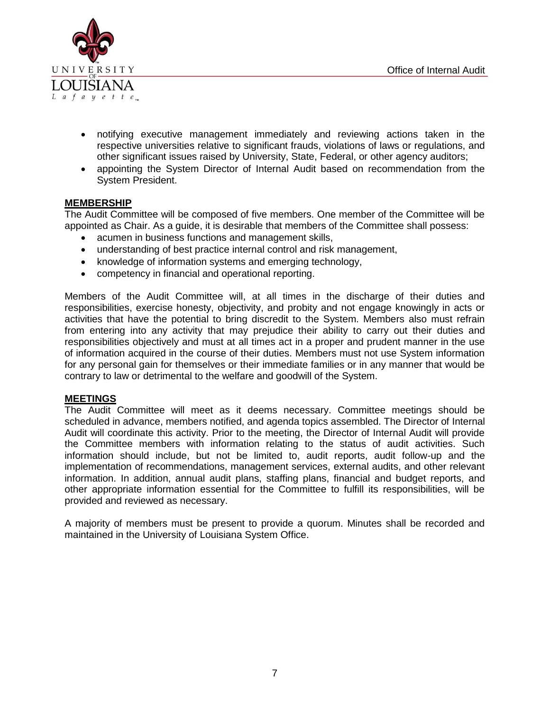

- notifying executive management immediately and reviewing actions taken in the respective universities relative to significant frauds, violations of laws or regulations, and other significant issues raised by University, State, Federal, or other agency auditors;
- appointing the System Director of Internal Audit based on recommendation from the System President.

#### **MEMBERSHIP**

The Audit Committee will be composed of five members. One member of the Committee will be appointed as Chair. As a guide, it is desirable that members of the Committee shall possess:

- acumen in business functions and management skills,
- understanding of best practice internal control and risk management,
- knowledge of information systems and emerging technology,
- competency in financial and operational reporting.

Members of the Audit Committee will, at all times in the discharge of their duties and responsibilities, exercise honesty, objectivity, and probity and not engage knowingly in acts or activities that have the potential to bring discredit to the System. Members also must refrain from entering into any activity that may prejudice their ability to carry out their duties and responsibilities objectively and must at all times act in a proper and prudent manner in the use of information acquired in the course of their duties. Members must not use System information for any personal gain for themselves or their immediate families or in any manner that would be contrary to law or detrimental to the welfare and goodwill of the System.

#### **MEETINGS**

The Audit Committee will meet as it deems necessary. Committee meetings should be scheduled in advance, members notified, and agenda topics assembled. The Director of Internal Audit will coordinate this activity. Prior to the meeting, the Director of Internal Audit will provide the Committee members with information relating to the status of audit activities. Such information should include, but not be limited to, audit reports, audit follow-up and the implementation of recommendations, management services, external audits, and other relevant information. In addition, annual audit plans, staffing plans, financial and budget reports, and other appropriate information essential for the Committee to fulfill its responsibilities, will be provided and reviewed as necessary.

A majority of members must be present to provide a quorum. Minutes shall be recorded and maintained in the University of Louisiana System Office.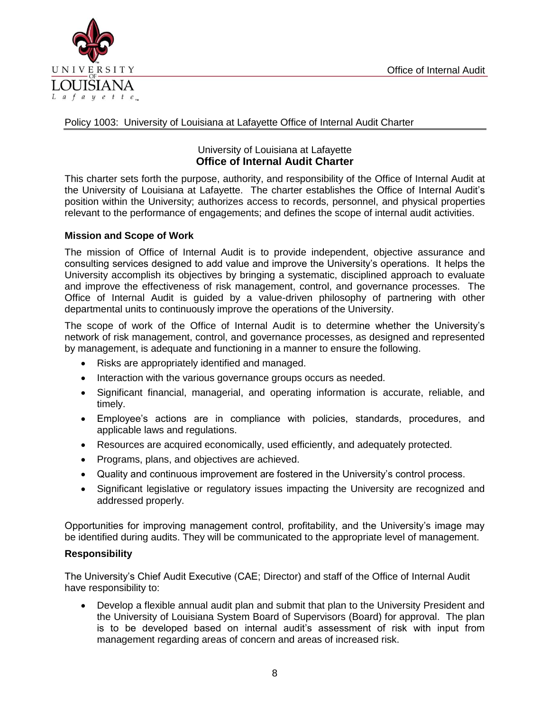

<span id="page-10-0"></span>Policy 1003: University of Louisiana at Lafayette Office of Internal Audit Charter

## University of Louisiana at Lafayette **Office of Internal Audit Charter**

This charter sets forth the purpose, authority, and responsibility of the Office of Internal Audit at the University of Louisiana at Lafayette. The charter establishes the Office of Internal Audit's position within the University; authorizes access to records, personnel, and physical properties relevant to the performance of engagements; and defines the scope of internal audit activities.

## **Mission and Scope of Work**

The mission of Office of Internal Audit is to provide independent, objective assurance and consulting services designed to add value and improve the University's operations. It helps the University accomplish its objectives by bringing a systematic, disciplined approach to evaluate and improve the effectiveness of risk management, control, and governance processes. The Office of Internal Audit is guided by a value-driven philosophy of partnering with other departmental units to continuously improve the operations of the University.

The scope of work of the Office of Internal Audit is to determine whether the University's network of risk management, control, and governance processes, as designed and represented by management, is adequate and functioning in a manner to ensure the following.

- Risks are appropriately identified and managed.
- Interaction with the various governance groups occurs as needed.
- Significant financial, managerial, and operating information is accurate, reliable, and timely.
- Employee's actions are in compliance with policies, standards, procedures, and applicable laws and regulations.
- Resources are acquired economically, used efficiently, and adequately protected.
- Programs, plans, and objectives are achieved.
- Quality and continuous improvement are fostered in the University's control process.
- Significant legislative or regulatory issues impacting the University are recognized and addressed properly.

Opportunities for improving management control, profitability, and the University's image may be identified during audits. They will be communicated to the appropriate level of management.

## **Responsibility**

The University's Chief Audit Executive (CAE; Director) and staff of the Office of Internal Audit have responsibility to:

 Develop a flexible annual audit plan and submit that plan to the University President and the University of Louisiana System Board of Supervisors (Board) for approval. The plan is to be developed based on internal audit's assessment of risk with input from management regarding areas of concern and areas of increased risk.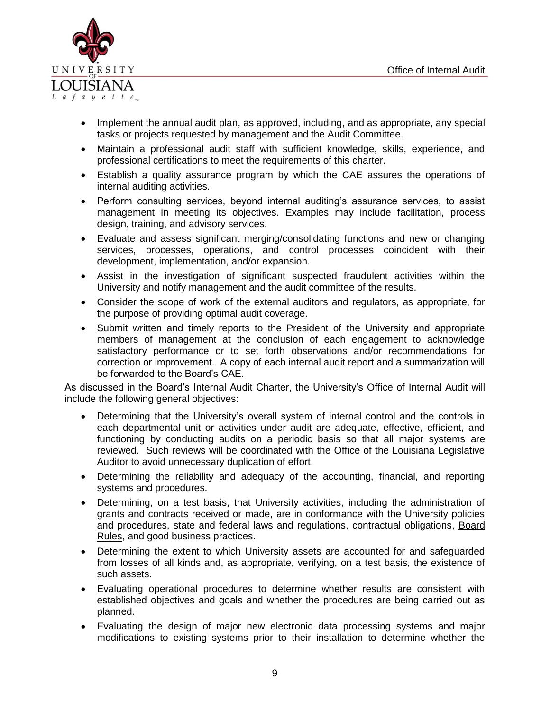

- Implement the annual audit plan, as approved, including, and as appropriate, any special tasks or projects requested by management and the Audit Committee.
- Maintain a professional audit staff with sufficient knowledge, skills, experience, and professional certifications to meet the requirements of this charter.
- Establish a quality assurance program by which the CAE assures the operations of internal auditing activities.
- Perform consulting services, beyond internal auditing's assurance services, to assist management in meeting its objectives. Examples may include facilitation, process design, training, and advisory services.
- Evaluate and assess significant merging/consolidating functions and new or changing services, processes, operations, and control processes coincident with their development, implementation, and/or expansion.
- Assist in the investigation of significant suspected fraudulent activities within the University and notify management and the audit committee of the results.
- Consider the scope of work of the external auditors and regulators, as appropriate, for the purpose of providing optimal audit coverage.
- Submit written and timely reports to the President of the University and appropriate members of management at the conclusion of each engagement to acknowledge satisfactory performance or to set forth observations and/or recommendations for correction or improvement. A copy of each internal audit report and a summarization will be forwarded to the Board's CAE.

As discussed in the Board's Internal Audit Charter, the University's Office of Internal Audit will include the following general objectives:

- Determining that the University's overall system of internal control and the controls in each departmental unit or activities under audit are adequate, effective, efficient, and functioning by conducting audits on a periodic basis so that all major systems are reviewed. Such reviews will be coordinated with the Office of the Louisiana Legislative Auditor to avoid unnecessary duplication of effort.
- Determining the reliability and adequacy of the accounting, financial, and reporting systems and procedures.
- Determining, on a test basis, that University activities, including the administration of grants and contracts received or made, are in conformance with the University policies and procedures, state and federal laws and regulations, contractual obligations, Board Rules, and good business practices.
- Determining the extent to which University assets are accounted for and safeguarded from losses of all kinds and, as appropriate, verifying, on a test basis, the existence of such assets.
- Evaluating operational procedures to determine whether results are consistent with established objectives and goals and whether the procedures are being carried out as planned.
- Evaluating the design of major new electronic data processing systems and major modifications to existing systems prior to their installation to determine whether the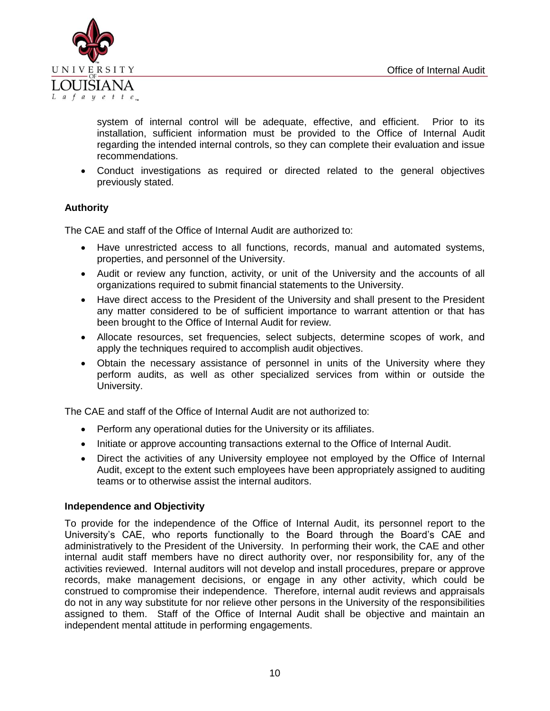

system of internal control will be adequate, effective, and efficient. Prior to its installation, sufficient information must be provided to the Office of Internal Audit regarding the intended internal controls, so they can complete their evaluation and issue recommendations.

 Conduct investigations as required or directed related to the general objectives previously stated.

## **Authority**

The CAE and staff of the Office of Internal Audit are authorized to:

- Have unrestricted access to all functions, records, manual and automated systems, properties, and personnel of the University.
- Audit or review any function, activity, or unit of the University and the accounts of all organizations required to submit financial statements to the University.
- Have direct access to the President of the University and shall present to the President any matter considered to be of sufficient importance to warrant attention or that has been brought to the Office of Internal Audit for review.
- Allocate resources, set frequencies, select subjects, determine scopes of work, and apply the techniques required to accomplish audit objectives.
- Obtain the necessary assistance of personnel in units of the University where they perform audits, as well as other specialized services from within or outside the University.

The CAE and staff of the Office of Internal Audit are not authorized to:

- Perform any operational duties for the University or its affiliates.
- Initiate or approve accounting transactions external to the Office of Internal Audit.
- Direct the activities of any University employee not employed by the Office of Internal Audit, except to the extent such employees have been appropriately assigned to auditing teams or to otherwise assist the internal auditors.

## **Independence and Objectivity**

To provide for the independence of the Office of Internal Audit, its personnel report to the University's CAE, who reports functionally to the Board through the Board's CAE and administratively to the President of the University. In performing their work, the CAE and other internal audit staff members have no direct authority over, nor responsibility for, any of the activities reviewed. Internal auditors will not develop and install procedures, prepare or approve records, make management decisions, or engage in any other activity, which could be construed to compromise their independence. Therefore, internal audit reviews and appraisals do not in any way substitute for nor relieve other persons in the University of the responsibilities assigned to them. Staff of the Office of Internal Audit shall be objective and maintain an independent mental attitude in performing engagements.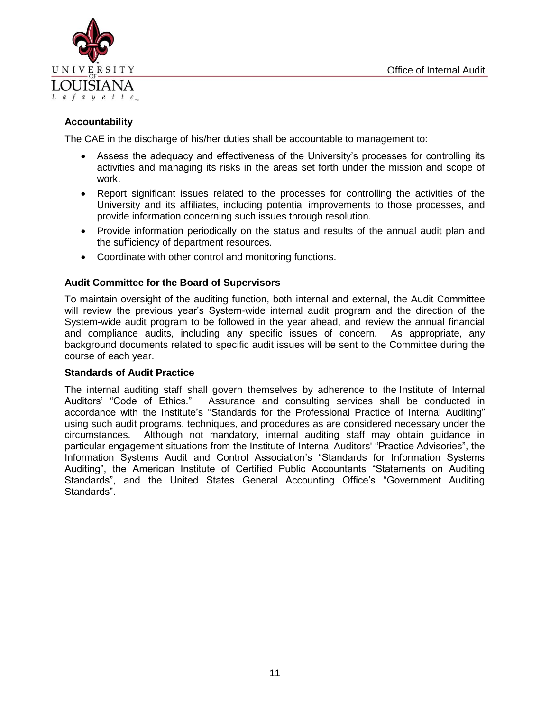

## **Accountability**

The CAE in the discharge of his/her duties shall be accountable to management to:

- Assess the adequacy and effectiveness of the University's processes for controlling its activities and managing its risks in the areas set forth under the mission and scope of work.
- Report significant issues related to the processes for controlling the activities of the University and its affiliates, including potential improvements to those processes, and provide information concerning such issues through resolution.
- Provide information periodically on the status and results of the annual audit plan and the sufficiency of department resources.
- Coordinate with other control and monitoring functions.

#### **Audit Committee for the Board of Supervisors**

To maintain oversight of the auditing function, both internal and external, the Audit Committee will review the previous year's System-wide internal audit program and the direction of the System-wide audit program to be followed in the year ahead, and review the annual financial and compliance audits, including any specific issues of concern. As appropriate, any background documents related to specific audit issues will be sent to the Committee during the course of each year.

#### **Standards of Audit Practice**

The internal auditing staff shall govern themselves by adherence to the Institute of Internal Auditors' "Code of Ethics." Assurance and consulting services shall be conducted in accordance with the Institute's "Standards for the Professional Practice of Internal Auditing" using such audit programs, techniques, and procedures as are considered necessary under the circumstances. Although not mandatory, internal auditing staff may obtain guidance in particular engagement situations from the Institute of Internal Auditors' "Practice Advisories", the Information Systems Audit and Control Association's "Standards for Information Systems Auditing", the American Institute of Certified Public Accountants "Statements on Auditing Standards", and the United States General Accounting Office's "Government Auditing Standards".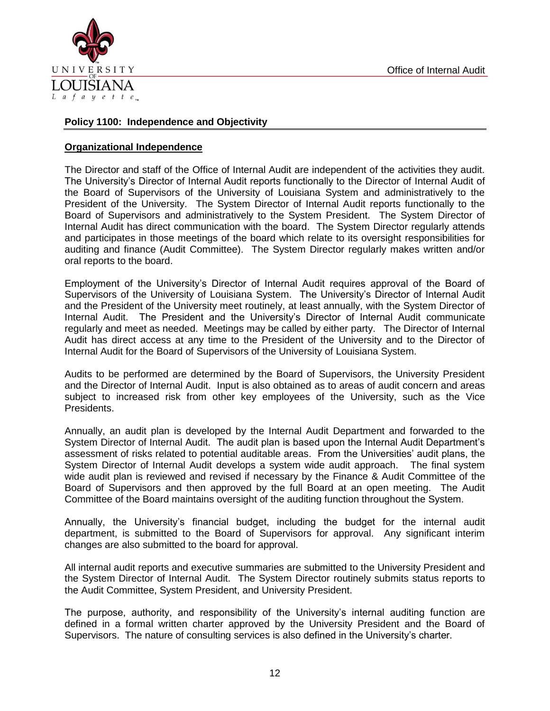

## <span id="page-14-0"></span>**Policy 1100: Independence and Objectivity**

#### **Organizational Independence**

The Director and staff of the Office of Internal Audit are independent of the activities they audit. The University's Director of Internal Audit reports functionally to the Director of Internal Audit of the Board of Supervisors of the University of Louisiana System and administratively to the President of the University. The System Director of Internal Audit reports functionally to the Board of Supervisors and administratively to the System President. The System Director of Internal Audit has direct communication with the board. The System Director regularly attends and participates in those meetings of the board which relate to its oversight responsibilities for auditing and finance (Audit Committee). The System Director regularly makes written and/or oral reports to the board.

Employment of the University's Director of Internal Audit requires approval of the Board of Supervisors of the University of Louisiana System. The University's Director of Internal Audit and the President of the University meet routinely, at least annually, with the System Director of Internal Audit. The President and the University's Director of Internal Audit communicate regularly and meet as needed. Meetings may be called by either party. The Director of Internal Audit has direct access at any time to the President of the University and to the Director of Internal Audit for the Board of Supervisors of the University of Louisiana System.

Audits to be performed are determined by the Board of Supervisors, the University President and the Director of Internal Audit. Input is also obtained as to areas of audit concern and areas subject to increased risk from other key employees of the University, such as the Vice Presidents.

Annually, an audit plan is developed by the Internal Audit Department and forwarded to the System Director of Internal Audit. The audit plan is based upon the Internal Audit Department's assessment of risks related to potential auditable areas. From the Universities' audit plans, the System Director of Internal Audit develops a system wide audit approach. The final system wide audit plan is reviewed and revised if necessary by the Finance & Audit Committee of the Board of Supervisors and then approved by the full Board at an open meeting. The Audit Committee of the Board maintains oversight of the auditing function throughout the System.

Annually, the University's financial budget, including the budget for the internal audit department, is submitted to the Board of Supervisors for approval. Any significant interim changes are also submitted to the board for approval.

All internal audit reports and executive summaries are submitted to the University President and the System Director of Internal Audit. The System Director routinely submits status reports to the Audit Committee, System President, and University President.

The purpose, authority, and responsibility of the University's internal auditing function are defined in a formal written charter approved by the University President and the Board of Supervisors. The nature of consulting services is also defined in the University's charter.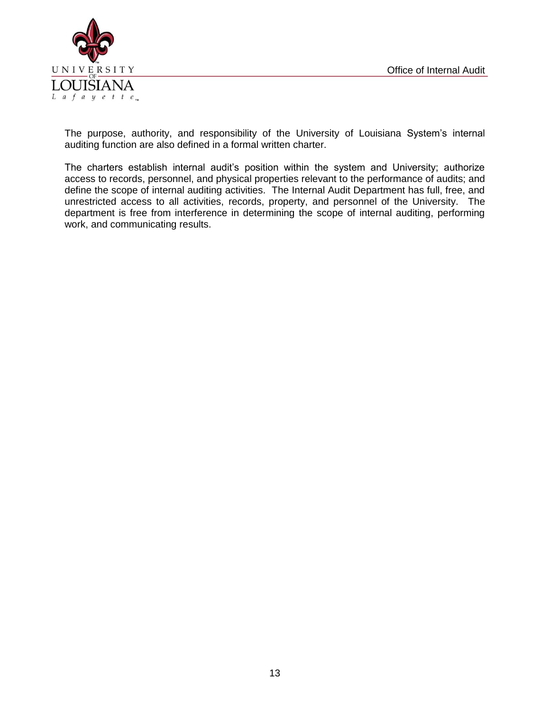

The purpose, authority, and responsibility of the University of Louisiana System's internal auditing function are also defined in a formal written charter.

The charters establish internal audit's position within the system and University; authorize access to records, personnel, and physical properties relevant to the performance of audits; and define the scope of internal auditing activities. The Internal Audit Department has full, free, and unrestricted access to all activities, records, property, and personnel of the University. The department is free from interference in determining the scope of internal auditing, performing work, and communicating results.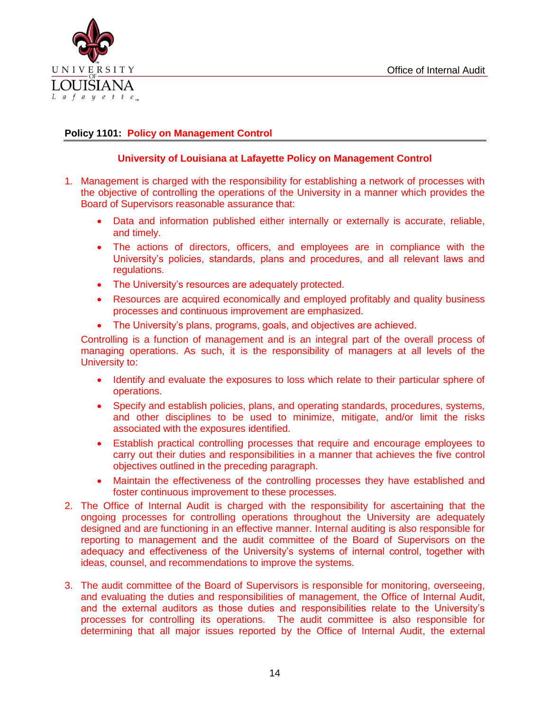

## **Policy 1101: Policy on Management Control**

#### **University of Louisiana at Lafayette Policy on Management Control**

- 1. Management is charged with the responsibility for establishing a network of processes with the objective of controlling the operations of the University in a manner which provides the Board of Supervisors reasonable assurance that:
	- Data and information published either internally or externally is accurate, reliable, and timely.
	- The actions of directors, officers, and employees are in compliance with the University's policies, standards, plans and procedures, and all relevant laws and regulations.
	- The University's resources are adequately protected.
	- Resources are acquired economically and employed profitably and quality business processes and continuous improvement are emphasized.
	- The University's plans, programs, goals, and objectives are achieved.

Controlling is a function of management and is an integral part of the overall process of managing operations. As such, it is the responsibility of managers at all levels of the University to:

- Identify and evaluate the exposures to loss which relate to their particular sphere of operations.
- Specify and establish policies, plans, and operating standards, procedures, systems, and other disciplines to be used to minimize, mitigate, and/or limit the risks associated with the exposures identified.
- Establish practical controlling processes that require and encourage employees to carry out their duties and responsibilities in a manner that achieves the five control objectives outlined in the preceding paragraph.
- Maintain the effectiveness of the controlling processes they have established and foster continuous improvement to these processes.
- 2. The Office of Internal Audit is charged with the responsibility for ascertaining that the ongoing processes for controlling operations throughout the University are adequately designed and are functioning in an effective manner. Internal auditing is also responsible for reporting to management and the audit committee of the Board of Supervisors on the adequacy and effectiveness of the University's systems of internal control, together with ideas, counsel, and recommendations to improve the systems.
- 3. The audit committee of the Board of Supervisors is responsible for monitoring, overseeing, and evaluating the duties and responsibilities of management, the Office of Internal Audit, and the external auditors as those duties and responsibilities relate to the University's processes for controlling its operations. The audit committee is also responsible for determining that all major issues reported by the Office of Internal Audit, the external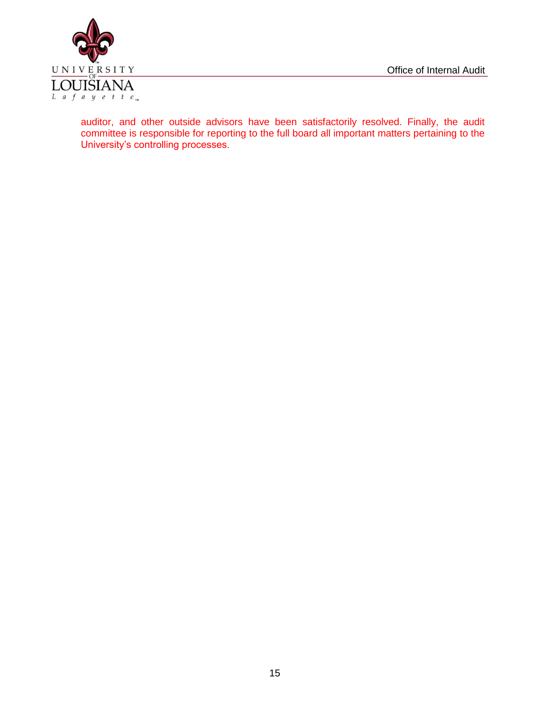

auditor, and other outside advisors have been satisfactorily resolved. Finally, the audit committee is responsible for reporting to the full board all important matters pertaining to the University's controlling processes.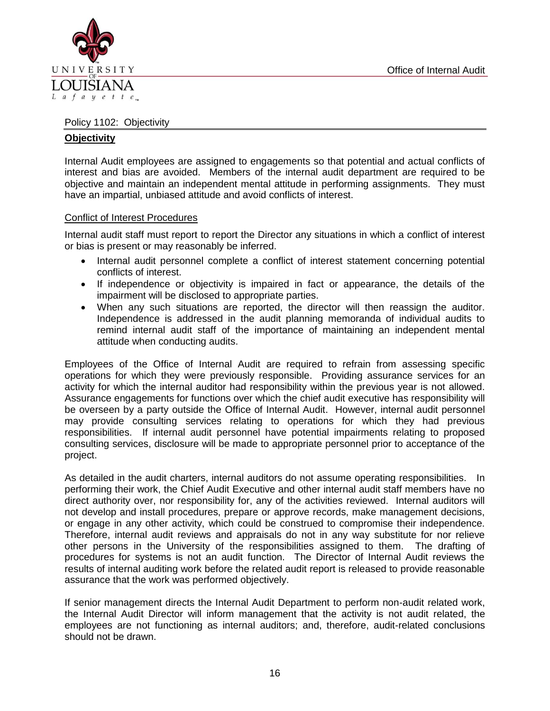

## <span id="page-18-0"></span>Policy 1102: Objectivity

## **Objectivity**

Internal Audit employees are assigned to engagements so that potential and actual conflicts of interest and bias are avoided. Members of the internal audit department are required to be objective and maintain an independent mental attitude in performing assignments. They must have an impartial, unbiased attitude and avoid conflicts of interest.

#### Conflict of Interest Procedures

Internal audit staff must report to report the Director any situations in which a conflict of interest or bias is present or may reasonably be inferred.

- Internal audit personnel complete a conflict of interest statement concerning potential conflicts of interest.
- If independence or objectivity is impaired in fact or appearance, the details of the impairment will be disclosed to appropriate parties.
- When any such situations are reported, the director will then reassign the auditor. Independence is addressed in the audit planning memoranda of individual audits to remind internal audit staff of the importance of maintaining an independent mental attitude when conducting audits.

Employees of the Office of Internal Audit are required to refrain from assessing specific operations for which they were previously responsible. Providing assurance services for an activity for which the internal auditor had responsibility within the previous year is not allowed. Assurance engagements for functions over which the chief audit executive has responsibility will be overseen by a party outside the Office of Internal Audit. However, internal audit personnel may provide consulting services relating to operations for which they had previous responsibilities. If internal audit personnel have potential impairments relating to proposed consulting services, disclosure will be made to appropriate personnel prior to acceptance of the project.

As detailed in the audit charters, internal auditors do not assume operating responsibilities. In performing their work, the Chief Audit Executive and other internal audit staff members have no direct authority over, nor responsibility for, any of the activities reviewed. Internal auditors will not develop and install procedures, prepare or approve records, make management decisions, or engage in any other activity, which could be construed to compromise their independence. Therefore, internal audit reviews and appraisals do not in any way substitute for nor relieve other persons in the University of the responsibilities assigned to them. The drafting of procedures for systems is not an audit function. The Director of Internal Audit reviews the results of internal auditing work before the related audit report is released to provide reasonable assurance that the work was performed objectively.

If senior management directs the Internal Audit Department to perform non-audit related work, the Internal Audit Director will inform management that the activity is not audit related, the employees are not functioning as internal auditors; and, therefore, audit-related conclusions should not be drawn.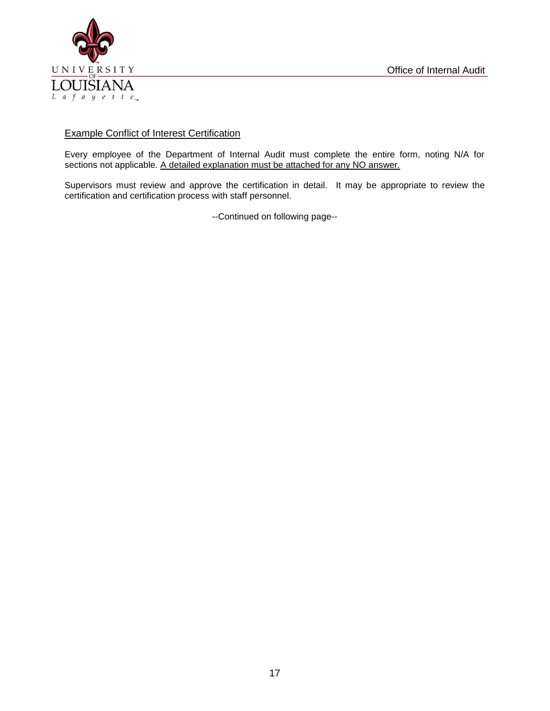

## Example Conflict of Interest Certification

Every employee of the Department of Internal Audit must complete the entire form, noting N/A for sections not applicable. A detailed explanation must be attached for any NO answer.

Supervisors must review and approve the certification in detail. It may be appropriate to review the certification and certification process with staff personnel.

--Continued on following page--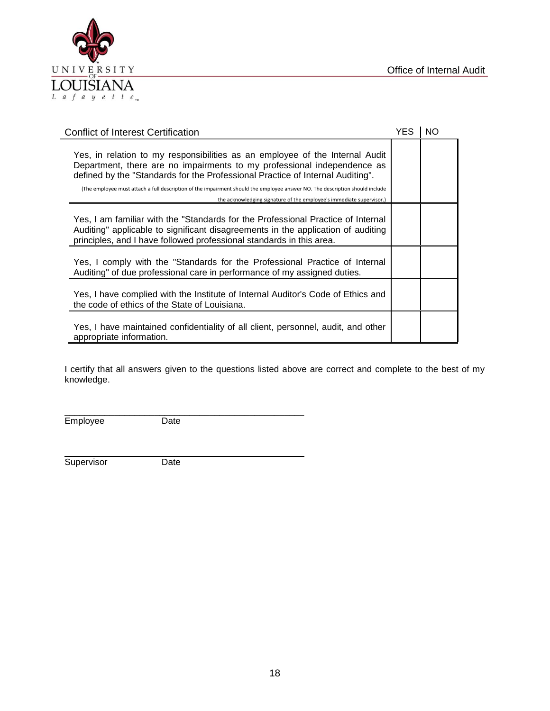

| <b>Conflict of Interest Certification</b>                                                                                                                                                                                                                                                                                                                                                                                                        | <b>YES</b> | NΟ |
|--------------------------------------------------------------------------------------------------------------------------------------------------------------------------------------------------------------------------------------------------------------------------------------------------------------------------------------------------------------------------------------------------------------------------------------------------|------------|----|
| Yes, in relation to my responsibilities as an employee of the Internal Audit<br>Department, there are no impairments to my professional independence as<br>defined by the "Standards for the Professional Practice of Internal Auditing".<br>(The employee must attach a full description of the impairment should the employee answer NO. The description should include<br>the acknowledging signature of the employee's immediate supervisor. |            |    |
| Yes, I am familiar with the "Standards for the Professional Practice of Internal<br>Auditing" applicable to significant disagreements in the application of auditing<br>principles, and I have followed professional standards in this area.                                                                                                                                                                                                     |            |    |
| Yes, I comply with the "Standards for the Professional Practice of Internal<br>Auditing" of due professional care in performance of my assigned duties.                                                                                                                                                                                                                                                                                          |            |    |
| Yes, I have complied with the Institute of Internal Auditor's Code of Ethics and<br>the code of ethics of the State of Louisiana.                                                                                                                                                                                                                                                                                                                |            |    |
| Yes, I have maintained confidentiality of all client, personnel, audit, and other<br>appropriate information.                                                                                                                                                                                                                                                                                                                                    |            |    |

I certify that all answers given to the questions listed above are correct and complete to the best of my knowledge.

\_\_\_\_\_\_\_\_\_\_\_\_\_\_\_\_\_\_\_\_\_\_\_\_\_\_\_\_\_\_\_\_\_\_\_\_\_\_\_\_\_\_\_\_\_\_\_\_ Employee Date

Supervisor Date

\_\_\_\_\_\_\_\_\_\_\_\_\_\_\_\_\_\_\_\_\_\_\_\_\_\_\_\_\_\_\_\_\_\_\_\_\_\_\_\_\_\_\_\_\_\_\_\_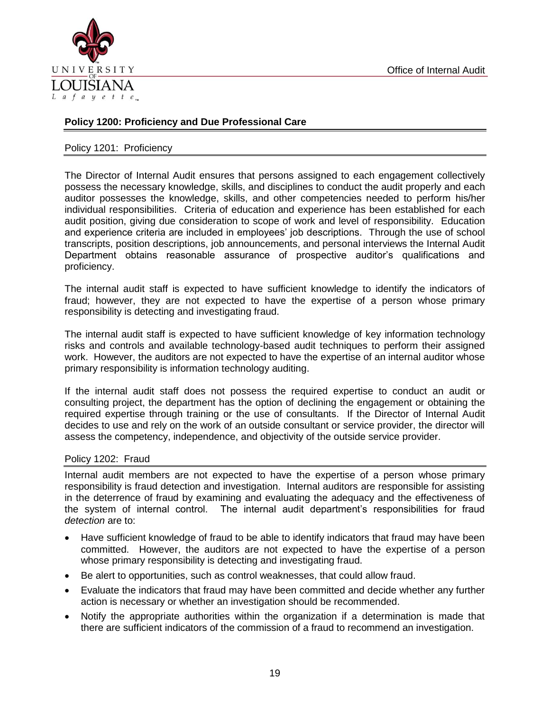

## <span id="page-21-0"></span>**Policy 1200: Proficiency and Due Professional Care**

#### <span id="page-21-1"></span>Policy 1201: Proficiency

The Director of Internal Audit ensures that persons assigned to each engagement collectively possess the necessary knowledge, skills, and disciplines to conduct the audit properly and each auditor possesses the knowledge, skills, and other competencies needed to perform his/her individual responsibilities. Criteria of education and experience has been established for each audit position, giving due consideration to scope of work and level of responsibility. Education and experience criteria are included in employees' job descriptions. Through the use of school transcripts, position descriptions, job announcements, and personal interviews the Internal Audit Department obtains reasonable assurance of prospective auditor's qualifications and proficiency.

The internal audit staff is expected to have sufficient knowledge to identify the indicators of fraud; however, they are not expected to have the expertise of a person whose primary responsibility is detecting and investigating fraud.

The internal audit staff is expected to have sufficient knowledge of key information technology risks and controls and available technology-based audit techniques to perform their assigned work. However, the auditors are not expected to have the expertise of an internal auditor whose primary responsibility is information technology auditing.

If the internal audit staff does not possess the required expertise to conduct an audit or consulting project, the department has the option of declining the engagement or obtaining the required expertise through training or the use of consultants. If the Director of Internal Audit decides to use and rely on the work of an outside consultant or service provider, the director will assess the competency, independence, and objectivity of the outside service provider.

#### <span id="page-21-2"></span>Policy 1202: Fraud

Internal audit members are not expected to have the expertise of a person whose primary responsibility is fraud detection and investigation. Internal auditors are responsible for assisting in the deterrence of fraud by examining and evaluating the adequacy and the effectiveness of the system of internal control. The internal audit department's responsibilities for fraud *detection* are to:

- Have sufficient knowledge of fraud to be able to identify indicators that fraud may have been committed. However, the auditors are not expected to have the expertise of a person whose primary responsibility is detecting and investigating fraud.
- Be alert to opportunities, such as control weaknesses, that could allow fraud.
- Evaluate the indicators that fraud may have been committed and decide whether any further action is necessary or whether an investigation should be recommended.
- Notify the appropriate authorities within the organization if a determination is made that there are sufficient indicators of the commission of a fraud to recommend an investigation.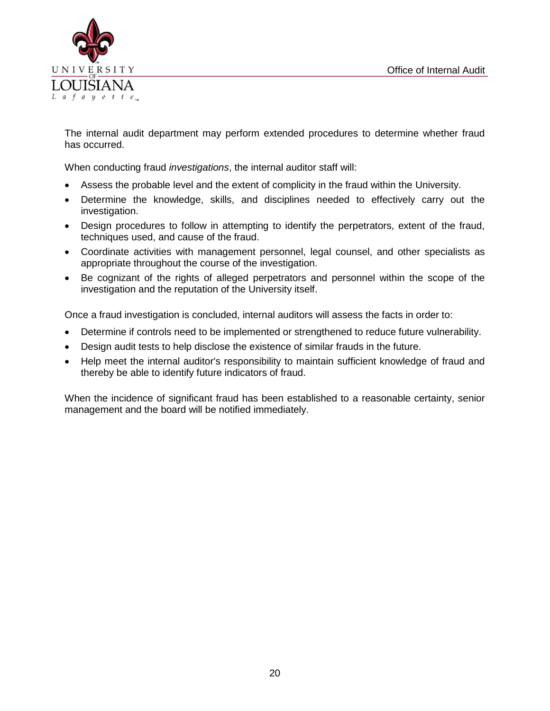

The internal audit department may perform extended procedures to determine whether fraud has occurred.

When conducting fraud *investigations*, the internal auditor staff will:

- Assess the probable level and the extent of complicity in the fraud within the University.
- Determine the knowledge, skills, and disciplines needed to effectively carry out the investigation.
- Design procedures to follow in attempting to identify the perpetrators, extent of the fraud, techniques used, and cause of the fraud.
- Coordinate activities with management personnel, legal counsel, and other specialists as appropriate throughout the course of the investigation.
- Be cognizant of the rights of alleged perpetrators and personnel within the scope of the investigation and the reputation of the University itself.

Once a fraud investigation is concluded, internal auditors will assess the facts in order to:

- Determine if controls need to be implemented or strengthened to reduce future vulnerability.
- Design audit tests to help disclose the existence of similar frauds in the future.
- Help meet the internal auditor's responsibility to maintain sufficient knowledge of fraud and thereby be able to identify future indicators of fraud.

When the incidence of significant fraud has been established to a reasonable certainty, senior management and the board will be notified immediately.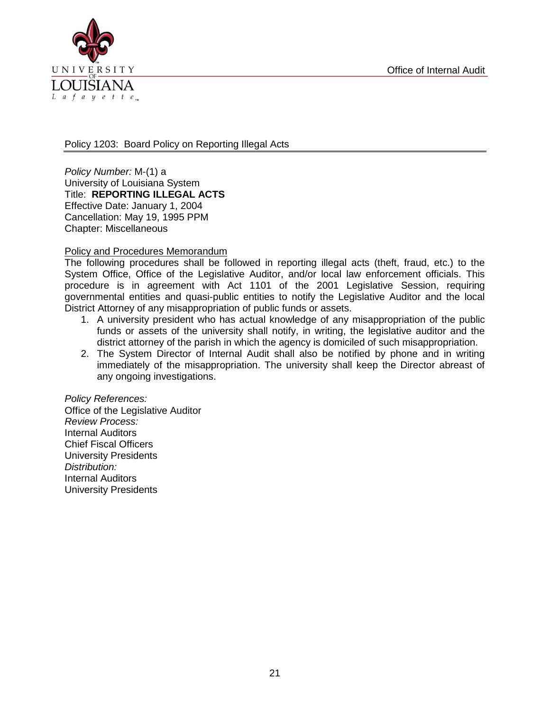

<span id="page-23-0"></span>Policy 1203: Board Policy on Reporting Illegal Acts

*Policy Number:* M-(1) a University of Louisiana System Title: **REPORTING ILLEGAL ACTS** Effective Date: January 1, 2004 Cancellation: May 19, 1995 PPM Chapter: Miscellaneous

#### Policy and Procedures Memorandum

The following procedures shall be followed in reporting illegal acts (theft, fraud, etc.) to the System Office, Office of the Legislative Auditor, and/or local law enforcement officials. This procedure is in agreement with Act 1101 of the 2001 Legislative Session, requiring governmental entities and quasi-public entities to notify the Legislative Auditor and the local District Attorney of any misappropriation of public funds or assets.

- 1. A university president who has actual knowledge of any misappropriation of the public funds or assets of the university shall notify, in writing, the legislative auditor and the district attorney of the parish in which the agency is domiciled of such misappropriation.
- 2. The System Director of Internal Audit shall also be notified by phone and in writing immediately of the misappropriation. The university shall keep the Director abreast of any ongoing investigations.

*Policy References:* Office of the Legislative Auditor *Review Process:* Internal Auditors Chief Fiscal Officers University Presidents *Distribution:* Internal Auditors University Presidents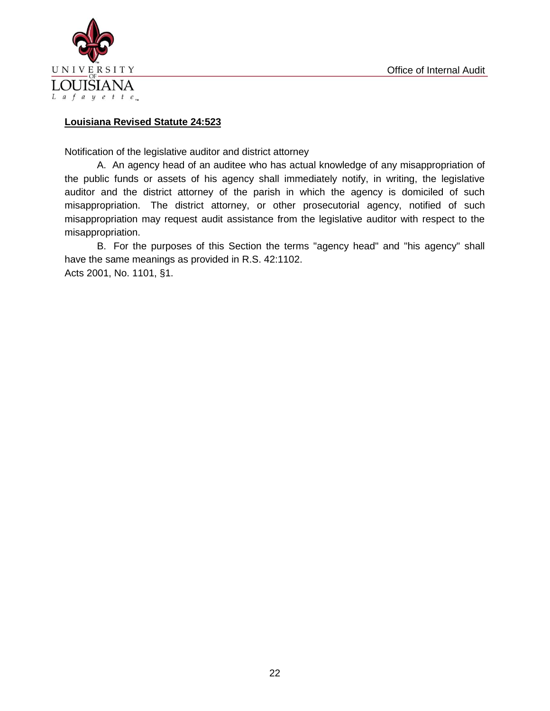

## <span id="page-24-0"></span>**Louisiana Revised Statute 24:523**

Notification of the legislative auditor and district attorney

A. An agency head of an auditee who has actual knowledge of any misappropriation of the public funds or assets of his agency shall immediately notify, in writing, the legislative auditor and the district attorney of the parish in which the agency is domiciled of such misappropriation. The district attorney, or other prosecutorial agency, notified of such misappropriation may request audit assistance from the legislative auditor with respect to the misappropriation.

B. For the purposes of this Section the terms "agency head" and "his agency" shall have the same meanings as provided in R.S. 42:1102. Acts 2001, No. 1101, §1.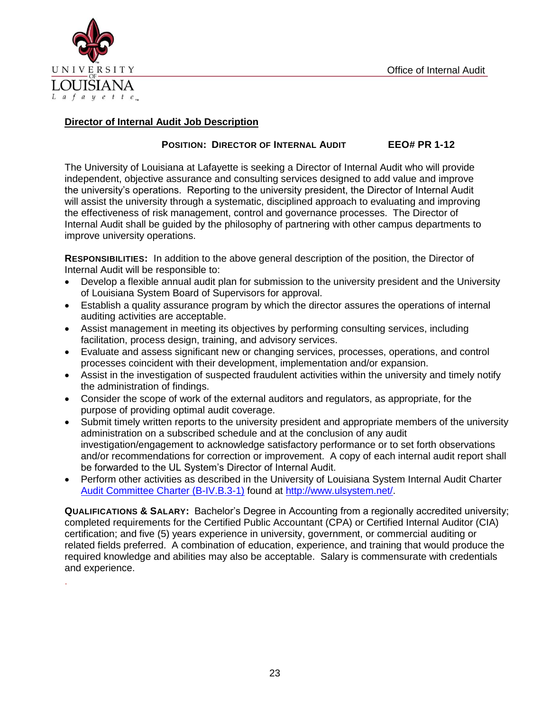

.

## **Director of Internal Audit Job Description**

#### **POSITION: DIRECTOR OF INTERNAL AUDIT <b>EEO#** PR 1-12

The University of Louisiana at Lafayette is seeking a Director of Internal Audit who will provide independent, objective assurance and consulting services designed to add value and improve the university's operations. Reporting to the university president, the Director of Internal Audit will assist the university through a systematic, disciplined approach to evaluating and improving the effectiveness of risk management, control and governance processes. The Director of Internal Audit shall be guided by the philosophy of partnering with other campus departments to improve university operations.

**RESPONSIBILITIES:** In addition to the above general description of the position, the Director of Internal Audit will be responsible to:

- Develop a flexible annual audit plan for submission to the university president and the University of Louisiana System Board of Supervisors for approval.
- Establish a quality assurance program by which the director assures the operations of internal auditing activities are acceptable.
- Assist management in meeting its objectives by performing consulting services, including facilitation, process design, training, and advisory services.
- Evaluate and assess significant new or changing services, processes, operations, and control processes coincident with their development, implementation and/or expansion.
- Assist in the investigation of suspected fraudulent activities within the university and timely notify the administration of findings.
- Consider the scope of work of the external auditors and regulators, as appropriate, for the purpose of providing optimal audit coverage.
- Submit timely written reports to the university president and appropriate members of the university administration on a subscribed schedule and at the conclusion of any audit investigation/engagement to acknowledge satisfactory performance or to set forth observations and/or recommendations for correction or improvement. A copy of each internal audit report shall be forwarded to the UL System's Director of Internal Audit.
- Perform other activities as described in the University of Louisiana System Internal Audit Charter [Audit Committee Charter \(B-IV.B.3-1\)](http://www.ulsystem.net/assets/docs/searchable/boards/B-IV.B.3-1%20Audit%20Committee%20Charter%208_1_03.pdf) found at [http://www.ulsystem.net/.](http://www.ulsystem.net/)

**QUALIFICATIONS & SALARY:** Bachelor's Degree in Accounting from a regionally accredited university; completed requirements for the Certified Public Accountant (CPA) or Certified Internal Auditor (CIA) certification; and five (5) years experience in university, government, or commercial auditing or related fields preferred. A combination of education, experience, and training that would produce the required knowledge and abilities may also be acceptable. Salary is commensurate with credentials and experience.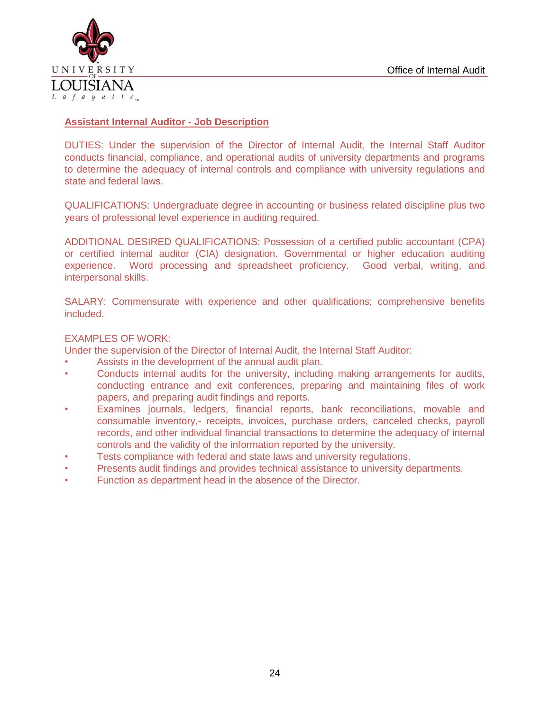

## **Assistant Internal Auditor - Job Description**

DUTIES: Under the supervision of the Director of Internal Audit, the Internal Staff Auditor conducts financial, compliance, and operational audits of university departments and programs to determine the adequacy of internal controls and compliance with university regulations and state and federal laws.

QUALIFICATIONS: Undergraduate degree in accounting or business related discipline plus two years of professional level experience in auditing required.

ADDITIONAL DESIRED QUALIFICATIONS: Possession of a certified public accountant (CPA) or certified internal auditor (CIA) designation. Governmental or higher education auditing experience. Word processing and spreadsheet proficiency. Good verbal, writing, and interpersonal skills.

SALARY: Commensurate with experience and other qualifications; comprehensive benefits included.

#### EXAMPLES OF WORK:

Under the supervision of the Director of Internal Audit, the Internal Staff Auditor:

- Assists in the development of the annual audit plan.
- Conducts internal audits for the university, including making arrangements for audits, conducting entrance and exit conferences, preparing and maintaining files of work papers, and preparing audit findings and reports.
- Examines journals, ledgers, financial reports, bank reconciliations, movable and consumable inventory,- receipts, invoices, purchase orders, canceled checks, payroll records, and other individual financial transactions to determine the adequacy of internal controls and the validity of the information reported by the university.
- Tests compliance with federal and state laws and university regulations.
- Presents audit findings and provides technical assistance to university departments.
- Function as department head in the absence of the Director.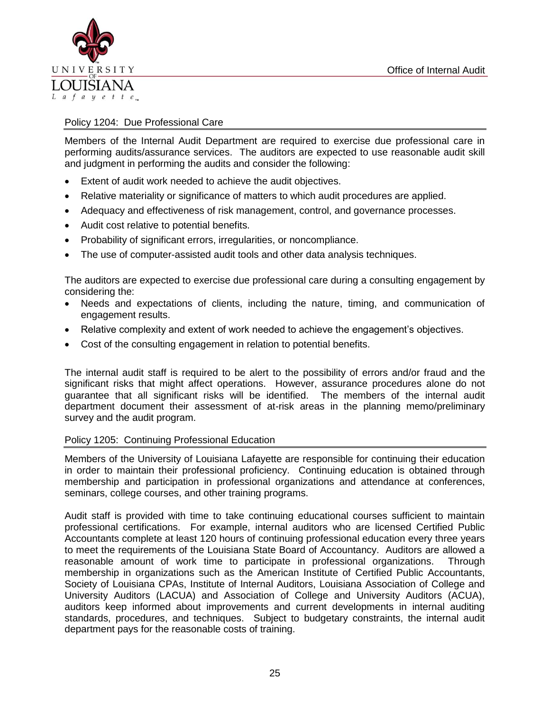

#### <span id="page-27-0"></span>Policy 1204: Due Professional Care

Members of the Internal Audit Department are required to exercise due professional care in performing audits/assurance services. The auditors are expected to use reasonable audit skill and judgment in performing the audits and consider the following:

- Extent of audit work needed to achieve the audit objectives.
- Relative materiality or significance of matters to which audit procedures are applied.
- Adequacy and effectiveness of risk management, control, and governance processes.
- Audit cost relative to potential benefits.
- Probability of significant errors, irregularities, or noncompliance.
- The use of computer-assisted audit tools and other data analysis techniques.

The auditors are expected to exercise due professional care during a consulting engagement by considering the:

- Needs and expectations of clients, including the nature, timing, and communication of engagement results.
- Relative complexity and extent of work needed to achieve the engagement's objectives.
- Cost of the consulting engagement in relation to potential benefits.

The internal audit staff is required to be alert to the possibility of errors and/or fraud and the significant risks that might affect operations. However, assurance procedures alone do not guarantee that all significant risks will be identified. The members of the internal audit department document their assessment of at-risk areas in the planning memo/preliminary survey and the audit program.

#### <span id="page-27-1"></span>Policy 1205: Continuing Professional Education

Members of the University of Louisiana Lafayette are responsible for continuing their education in order to maintain their professional proficiency. Continuing education is obtained through membership and participation in professional organizations and attendance at conferences, seminars, college courses, and other training programs.

Audit staff is provided with time to take continuing educational courses sufficient to maintain professional certifications. For example, internal auditors who are licensed Certified Public Accountants complete at least 120 hours of continuing professional education every three years to meet the requirements of the Louisiana State Board of Accountancy. Auditors are allowed a reasonable amount of work time to participate in professional organizations. Through membership in organizations such as the American Institute of Certified Public Accountants, Society of Louisiana CPAs, Institute of Internal Auditors, Louisiana Association of College and University Auditors (LACUA) and Association of College and University Auditors (ACUA), auditors keep informed about improvements and current developments in internal auditing standards, procedures, and techniques. Subject to budgetary constraints, the internal audit department pays for the reasonable costs of training.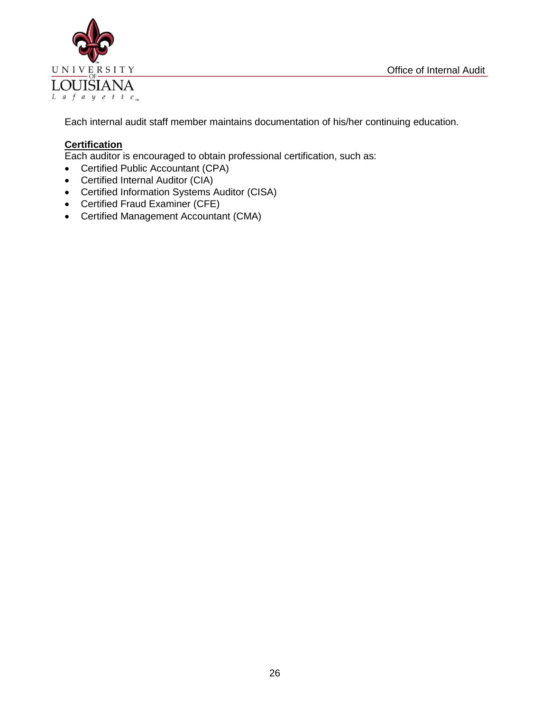

Each internal audit staff member maintains documentation of his/her continuing education.

## **Certification**

Each auditor is encouraged to obtain professional certification, such as:

- Certified Public Accountant (CPA)
- Certified Internal Auditor (CIA)
- Certified Information Systems Auditor (CISA)
- Certified Fraud Examiner (CFE)
- Certified Management Accountant (CMA)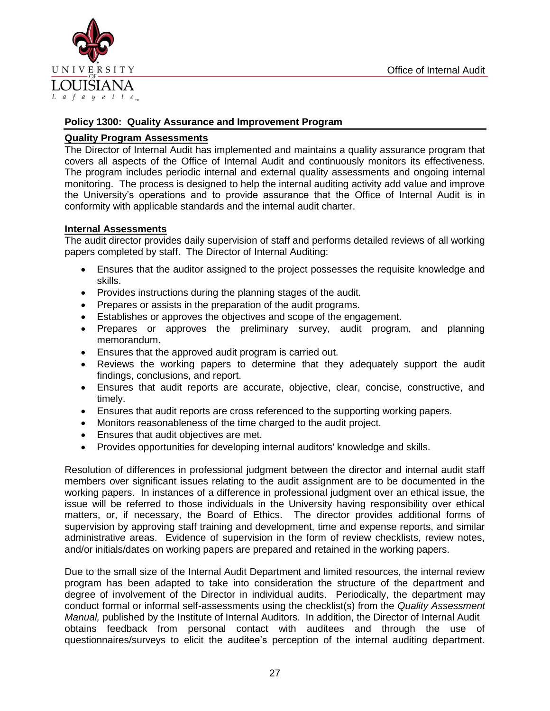

## <span id="page-29-0"></span>**Policy 1300: Quality Assurance and Improvement Program**

#### **Quality Program Assessments**

The Director of Internal Audit has implemented and maintains a quality assurance program that covers all aspects of the Office of Internal Audit and continuously monitors its effectiveness. The program includes periodic internal and external quality assessments and ongoing internal monitoring. The process is designed to help the internal auditing activity add value and improve the University's operations and to provide assurance that the Office of Internal Audit is in conformity with applicable standards and the internal audit charter.

#### **Internal Assessments**

The audit director provides daily supervision of staff and performs detailed reviews of all working papers completed by staff. The Director of Internal Auditing:

- Ensures that the auditor assigned to the project possesses the requisite knowledge and skills.
- Provides instructions during the planning stages of the audit.
- Prepares or assists in the preparation of the audit programs.
- Establishes or approves the objectives and scope of the engagement.
- Prepares or approves the preliminary survey, audit program, and planning memorandum.
- Ensures that the approved audit program is carried out.
- Reviews the working papers to determine that they adequately support the audit findings, conclusions, and report.
- Ensures that audit reports are accurate, objective, clear, concise, constructive, and timely.
- Ensures that audit reports are cross referenced to the supporting working papers.
- Monitors reasonableness of the time charged to the audit project.
- Ensures that audit objectives are met.
- Provides opportunities for developing internal auditors' knowledge and skills.

Resolution of differences in professional judgment between the director and internal audit staff members over significant issues relating to the audit assignment are to be documented in the working papers. In instances of a difference in professional judgment over an ethical issue, the issue will be referred to those individuals in the University having responsibility over ethical matters, or, if necessary, the Board of Ethics. The director provides additional forms of supervision by approving staff training and development, time and expense reports, and similar administrative areas. Evidence of supervision in the form of review checklists, review notes, and/or initials/dates on working papers are prepared and retained in the working papers.

Due to the small size of the Internal Audit Department and limited resources, the internal review program has been adapted to take into consideration the structure of the department and degree of involvement of the Director in individual audits. Periodically, the department may conduct formal or informal self-assessments using the checklist(s) from the *Quality Assessment Manual,* published by the Institute of Internal Auditors. In addition, the Director of Internal Audit obtains feedback from personal contact with auditees and through the use of questionnaires/surveys to elicit the auditee's perception of the internal auditing department.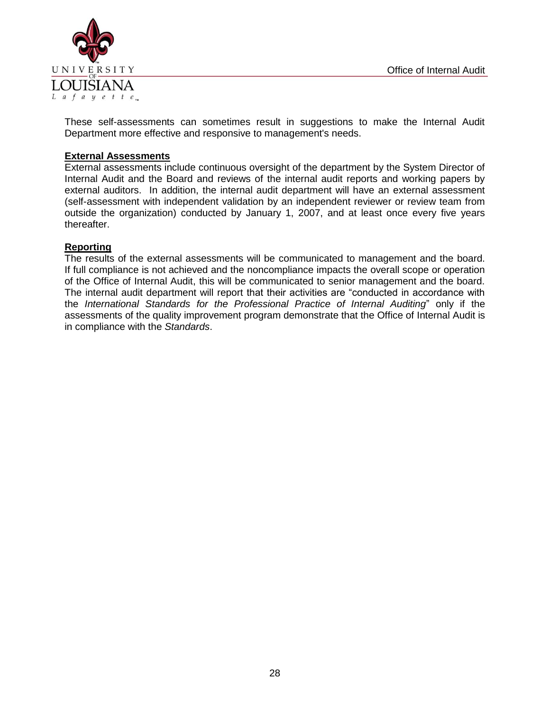

These self-assessments can sometimes result in suggestions to make the Internal Audit Department more effective and responsive to management's needs.

#### **External Assessments**

External assessments include continuous oversight of the department by the System Director of Internal Audit and the Board and reviews of the internal audit reports and working papers by external auditors. In addition, the internal audit department will have an external assessment (self-assessment with independent validation by an independent reviewer or review team from outside the organization) conducted by January 1, 2007, and at least once every five years thereafter.

#### **Reporting**

The results of the external assessments will be communicated to management and the board. If full compliance is not achieved and the noncompliance impacts the overall scope or operation of the Office of Internal Audit, this will be communicated to senior management and the board. The internal audit department will report that their activities are "conducted in accordance with the *International Standards for the Professional Practice of Internal Auditing*" only if the assessments of the quality improvement program demonstrate that the Office of Internal Audit is in compliance with the *Standards*.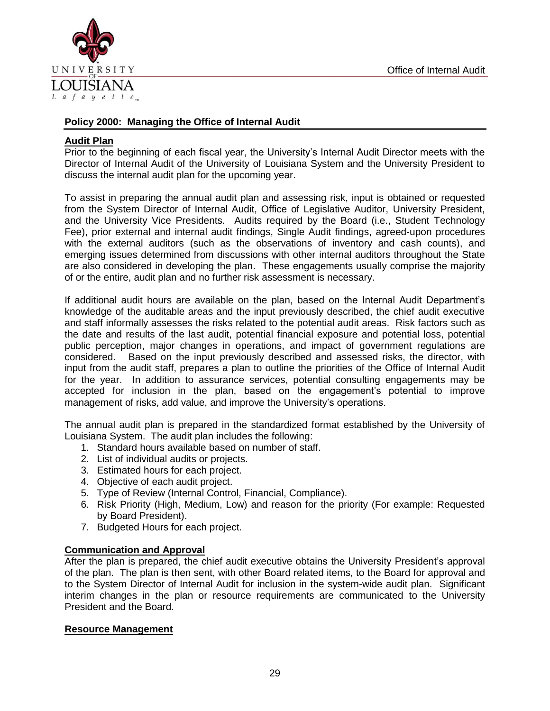

## <span id="page-31-0"></span>**Policy 2000: Managing the Office of Internal Audit**

## **Audit Plan**

Prior to the beginning of each fiscal year, the University's Internal Audit Director meets with the Director of Internal Audit of the University of Louisiana System and the University President to discuss the internal audit plan for the upcoming year.

To assist in preparing the annual audit plan and assessing risk, input is obtained or requested from the System Director of Internal Audit, Office of Legislative Auditor, University President, and the University Vice Presidents. Audits required by the Board (i.e., Student Technology Fee), prior external and internal audit findings, Single Audit findings, agreed-upon procedures with the external auditors (such as the observations of inventory and cash counts), and emerging issues determined from discussions with other internal auditors throughout the State are also considered in developing the plan. These engagements usually comprise the majority of or the entire, audit plan and no further risk assessment is necessary.

If additional audit hours are available on the plan, based on the Internal Audit Department's knowledge of the auditable areas and the input previously described, the chief audit executive and staff informally assesses the risks related to the potential audit areas. Risk factors such as the date and results of the last audit, potential financial exposure and potential loss, potential public perception, major changes in operations, and impact of government regulations are considered. Based on the input previously described and assessed risks, the director, with input from the audit staff, prepares a plan to outline the priorities of the Office of Internal Audit for the year. In addition to assurance services, potential consulting engagements may be accepted for inclusion in the plan, based on the engagement's potential to improve management of risks, add value, and improve the University's operations.

The annual audit plan is prepared in the standardized format established by the University of Louisiana System. The audit plan includes the following:

- 1. Standard hours available based on number of staff.
- 2. List of individual audits or projects.
- 3. Estimated hours for each project.
- 4. Objective of each audit project.
- 5. Type of Review (Internal Control, Financial, Compliance).
- 6. Risk Priority (High, Medium, Low) and reason for the priority (For example: Requested by Board President).
- 7. Budgeted Hours for each project.

## **Communication and Approval**

After the plan is prepared, the chief audit executive obtains the University President's approval of the plan. The plan is then sent, with other Board related items, to the Board for approval and to the System Director of Internal Audit for inclusion in the system-wide audit plan. Significant interim changes in the plan or resource requirements are communicated to the University President and the Board.

#### **Resource Management**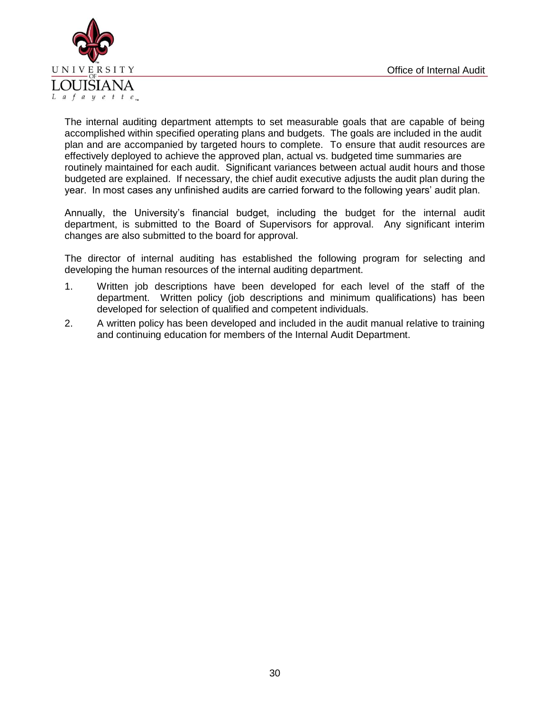

The internal auditing department attempts to set measurable goals that are capable of being accomplished within specified operating plans and budgets. The goals are included in the audit plan and are accompanied by targeted hours to complete. To ensure that audit resources are effectively deployed to achieve the approved plan, actual vs. budgeted time summaries are routinely maintained for each audit. Significant variances between actual audit hours and those budgeted are explained. If necessary, the chief audit executive adjusts the audit plan during the year. In most cases any unfinished audits are carried forward to the following years' audit plan.

Annually, the University's financial budget, including the budget for the internal audit department, is submitted to the Board of Supervisors for approval. Any significant interim changes are also submitted to the board for approval.

The director of internal auditing has established the following program for selecting and developing the human resources of the internal auditing department.

- 1. Written job descriptions have been developed for each level of the staff of the department. Written policy (job descriptions and minimum qualifications) has been developed for selection of qualified and competent individuals.
- 2. A written policy has been developed and included in the audit manual relative to training and continuing education for members of the Internal Audit Department.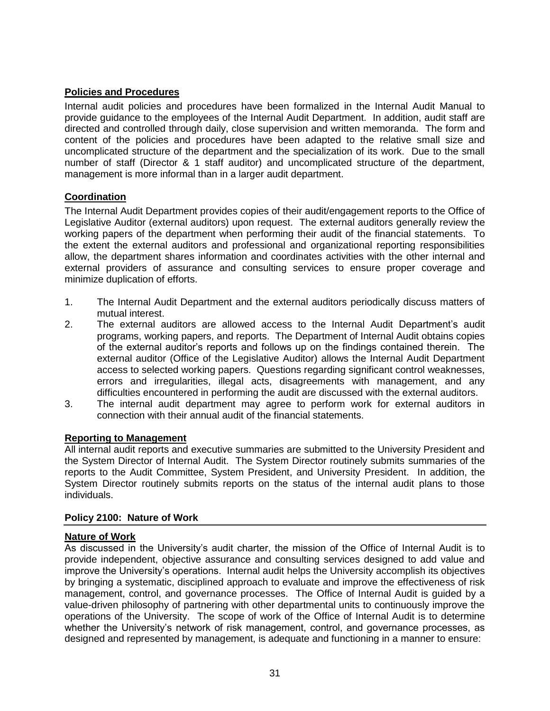#### **Policies and Procedures**

Internal audit policies and procedures have been formalized in the Internal Audit Manual to provide guidance to the employees of the Internal Audit Department. In addition, audit staff are directed and controlled through daily, close supervision and written memoranda. The form and content of the policies and procedures have been adapted to the relative small size and uncomplicated structure of the department and the specialization of its work. Due to the small number of staff (Director & 1 staff auditor) and uncomplicated structure of the department, management is more informal than in a larger audit department.

#### **Coordination**

The Internal Audit Department provides copies of their audit/engagement reports to the Office of Legislative Auditor (external auditors) upon request. The external auditors generally review the working papers of the department when performing their audit of the financial statements. To the extent the external auditors and professional and organizational reporting responsibilities allow, the department shares information and coordinates activities with the other internal and external providers of assurance and consulting services to ensure proper coverage and minimize duplication of efforts.

- 1. The Internal Audit Department and the external auditors periodically discuss matters of mutual interest.
- 2. The external auditors are allowed access to the Internal Audit Department's audit programs, working papers, and reports. The Department of Internal Audit obtains copies of the external auditor's reports and follows up on the findings contained therein. The external auditor (Office of the Legislative Auditor) allows the Internal Audit Department access to selected working papers. Questions regarding significant control weaknesses, errors and irregularities, illegal acts, disagreements with management, and any difficulties encountered in performing the audit are discussed with the external auditors.
- 3. The internal audit department may agree to perform work for external auditors in connection with their annual audit of the financial statements.

#### **Reporting to Management**

All internal audit reports and executive summaries are submitted to the University President and the System Director of Internal Audit. The System Director routinely submits summaries of the reports to the Audit Committee, System President, and University President. In addition, the System Director routinely submits reports on the status of the internal audit plans to those individuals.

#### <span id="page-33-0"></span>**Policy 2100: Nature of Work**

#### **Nature of Work**

As discussed in the University's audit charter, the mission of the Office of Internal Audit is to provide independent, objective assurance and consulting services designed to add value and improve the University's operations. Internal audit helps the University accomplish its objectives by bringing a systematic, disciplined approach to evaluate and improve the effectiveness of risk management, control, and governance processes. The Office of Internal Audit is guided by a value-driven philosophy of partnering with other departmental units to continuously improve the operations of the University. The scope of work of the Office of Internal Audit is to determine whether the University's network of risk management, control, and governance processes, as designed and represented by management, is adequate and functioning in a manner to ensure: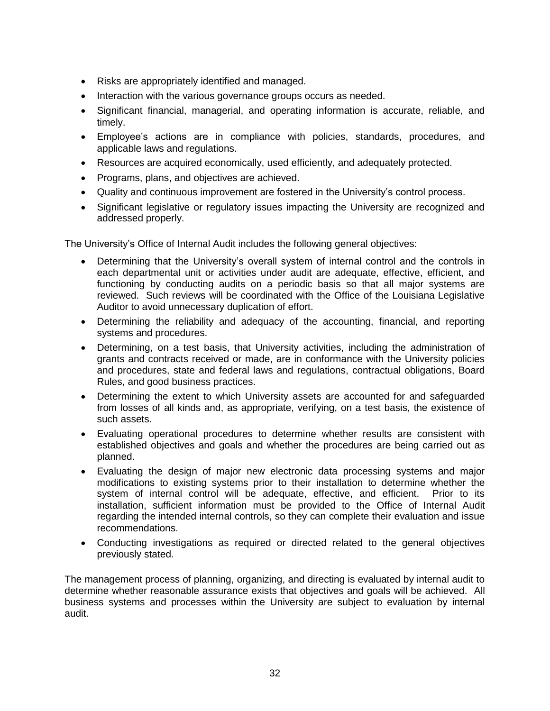- Risks are appropriately identified and managed.
- Interaction with the various governance groups occurs as needed.
- Significant financial, managerial, and operating information is accurate, reliable, and timely.
- Employee's actions are in compliance with policies, standards, procedures, and applicable laws and regulations.
- Resources are acquired economically, used efficiently, and adequately protected.
- Programs, plans, and objectives are achieved.
- Quality and continuous improvement are fostered in the University's control process.
- Significant legislative or regulatory issues impacting the University are recognized and addressed properly.

The University's Office of Internal Audit includes the following general objectives:

- Determining that the University's overall system of internal control and the controls in each departmental unit or activities under audit are adequate, effective, efficient, and functioning by conducting audits on a periodic basis so that all major systems are reviewed. Such reviews will be coordinated with the Office of the Louisiana Legislative Auditor to avoid unnecessary duplication of effort.
- Determining the reliability and adequacy of the accounting, financial, and reporting systems and procedures.
- Determining, on a test basis, that University activities, including the administration of grants and contracts received or made, are in conformance with the University policies and procedures, state and federal laws and regulations, contractual obligations, Board Rules, and good business practices.
- Determining the extent to which University assets are accounted for and safeguarded from losses of all kinds and, as appropriate, verifying, on a test basis, the existence of such assets.
- Evaluating operational procedures to determine whether results are consistent with established objectives and goals and whether the procedures are being carried out as planned.
- Evaluating the design of major new electronic data processing systems and major modifications to existing systems prior to their installation to determine whether the system of internal control will be adequate, effective, and efficient. Prior to its installation, sufficient information must be provided to the Office of Internal Audit regarding the intended internal controls, so they can complete their evaluation and issue recommendations.
- Conducting investigations as required or directed related to the general objectives previously stated.

The management process of planning, organizing, and directing is evaluated by internal audit to determine whether reasonable assurance exists that objectives and goals will be achieved. All business systems and processes within the University are subject to evaluation by internal audit.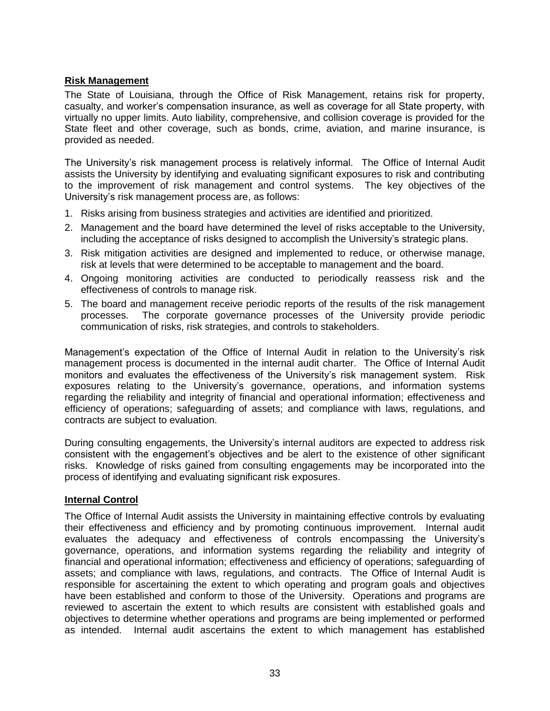#### **Risk Management**

The State of Louisiana, through the Office of Risk Management, retains risk for property, casualty, and worker's compensation insurance, as well as coverage for all State property, with virtually no upper limits. Auto liability, comprehensive, and collision coverage is provided for the State fleet and other coverage, such as bonds, crime, aviation, and marine insurance, is provided as needed.

The University's risk management process is relatively informal. The Office of Internal Audit assists the University by identifying and evaluating significant exposures to risk and contributing to the improvement of risk management and control systems. The key objectives of the University's risk management process are, as follows:

- 1. Risks arising from business strategies and activities are identified and prioritized.
- 2. Management and the board have determined the level of risks acceptable to the University, including the acceptance of risks designed to accomplish the University's strategic plans.
- 3. Risk mitigation activities are designed and implemented to reduce, or otherwise manage, risk at levels that were determined to be acceptable to management and the board.
- 4. Ongoing monitoring activities are conducted to periodically reassess risk and the effectiveness of controls to manage risk.
- 5. The board and management receive periodic reports of the results of the risk management processes. The corporate governance processes of the University provide periodic communication of risks, risk strategies, and controls to stakeholders.

Management's expectation of the Office of Internal Audit in relation to the University's risk management process is documented in the internal audit charter. The Office of Internal Audit monitors and evaluates the effectiveness of the University's risk management system. Risk exposures relating to the University's governance, operations, and information systems regarding the reliability and integrity of financial and operational information; effectiveness and efficiency of operations; safeguarding of assets; and compliance with laws, regulations, and contracts are subject to evaluation.

During consulting engagements, the University's internal auditors are expected to address risk consistent with the engagement's objectives and be alert to the existence of other significant risks. Knowledge of risks gained from consulting engagements may be incorporated into the process of identifying and evaluating significant risk exposures.

#### **Internal Control**

The Office of Internal Audit assists the University in maintaining effective controls by evaluating their effectiveness and efficiency and by promoting continuous improvement. Internal audit evaluates the adequacy and effectiveness of controls encompassing the University's governance, operations, and information systems regarding the reliability and integrity of financial and operational information; effectiveness and efficiency of operations; safeguarding of assets; and compliance with laws, regulations, and contracts. The Office of Internal Audit is responsible for ascertaining the extent to which operating and program goals and objectives have been established and conform to those of the University. Operations and programs are reviewed to ascertain the extent to which results are consistent with established goals and objectives to determine whether operations and programs are being implemented or performed as intended. Internal audit ascertains the extent to which management has established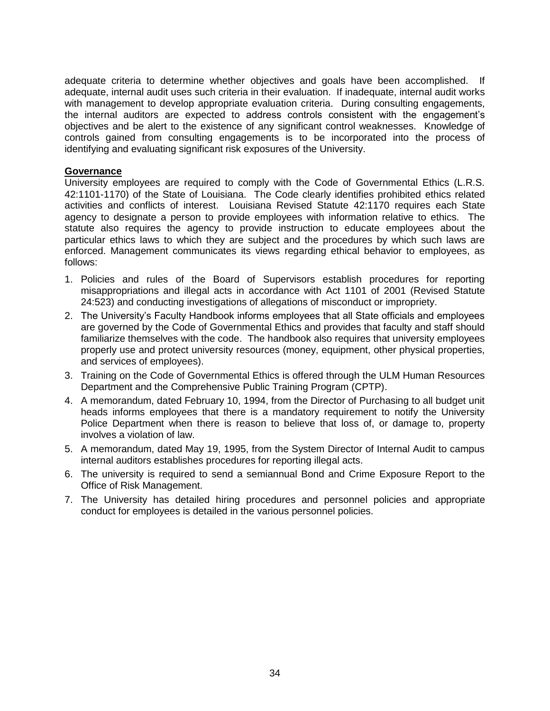adequate criteria to determine whether objectives and goals have been accomplished. If adequate, internal audit uses such criteria in their evaluation. If inadequate, internal audit works with management to develop appropriate evaluation criteria. During consulting engagements, the internal auditors are expected to address controls consistent with the engagement's objectives and be alert to the existence of any significant control weaknesses. Knowledge of controls gained from consulting engagements is to be incorporated into the process of identifying and evaluating significant risk exposures of the University.

#### **Governance**

University employees are required to comply with the Code of Governmental Ethics (L.R.S. 42:1101-1170) of the State of Louisiana. The Code clearly identifies prohibited ethics related activities and conflicts of interest. Louisiana Revised Statute 42:1170 requires each State agency to designate a person to provide employees with information relative to ethics. The statute also requires the agency to provide instruction to educate employees about the particular ethics laws to which they are subject and the procedures by which such laws are enforced. Management communicates its views regarding ethical behavior to employees, as follows:

- 1. Policies and rules of the Board of Supervisors establish procedures for reporting misappropriations and illegal acts in accordance with Act 1101 of 2001 (Revised Statute 24:523) and conducting investigations of allegations of misconduct or impropriety.
- 2. The University's Faculty Handbook informs employees that all State officials and employees are governed by the Code of Governmental Ethics and provides that faculty and staff should familiarize themselves with the code. The handbook also requires that university employees properly use and protect university resources (money, equipment, other physical properties, and services of employees).
- 3. Training on the Code of Governmental Ethics is offered through the ULM Human Resources Department and the Comprehensive Public Training Program (CPTP).
- 4. A memorandum, dated February 10, 1994, from the Director of Purchasing to all budget unit heads informs employees that there is a mandatory requirement to notify the University Police Department when there is reason to believe that loss of, or damage to, property involves a violation of law.
- 5. A memorandum, dated May 19, 1995, from the System Director of Internal Audit to campus internal auditors establishes procedures for reporting illegal acts.
- 6. The university is required to send a semiannual Bond and Crime Exposure Report to the Office of Risk Management.
- 7. The University has detailed hiring procedures and personnel policies and appropriate conduct for employees is detailed in the various personnel policies.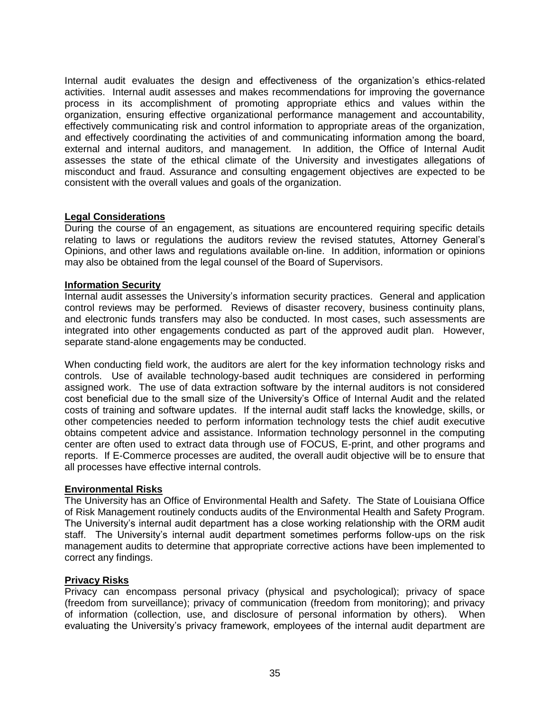Internal audit evaluates the design and effectiveness of the organization's ethics-related activities. Internal audit assesses and makes recommendations for improving the governance process in its accomplishment of promoting appropriate ethics and values within the organization, ensuring effective organizational performance management and accountability, effectively communicating risk and control information to appropriate areas of the organization, and effectively coordinating the activities of and communicating information among the board, external and internal auditors, and management. In addition, the Office of Internal Audit assesses the state of the ethical climate of the University and investigates allegations of misconduct and fraud. Assurance and consulting engagement objectives are expected to be consistent with the overall values and goals of the organization.

#### **Legal Considerations**

During the course of an engagement, as situations are encountered requiring specific details relating to laws or regulations the auditors review the revised statutes, Attorney General's Opinions, and other laws and regulations available on-line. In addition, information or opinions may also be obtained from the legal counsel of the Board of Supervisors.

#### **Information Security**

Internal audit assesses the University's information security practices. General and application control reviews may be performed. Reviews of disaster recovery, business continuity plans, and electronic funds transfers may also be conducted. In most cases, such assessments are integrated into other engagements conducted as part of the approved audit plan. However, separate stand-alone engagements may be conducted.

When conducting field work, the auditors are alert for the key information technology risks and controls. Use of available technology-based audit techniques are considered in performing assigned work. The use of data extraction software by the internal auditors is not considered cost beneficial due to the small size of the University's Office of Internal Audit and the related costs of training and software updates. If the internal audit staff lacks the knowledge, skills, or other competencies needed to perform information technology tests the chief audit executive obtains competent advice and assistance. Information technology personnel in the computing center are often used to extract data through use of FOCUS, E-print, and other programs and reports. If E-Commerce processes are audited, the overall audit objective will be to ensure that all processes have effective internal controls.

#### **Environmental Risks**

The University has an Office of Environmental Health and Safety. The State of Louisiana Office of Risk Management routinely conducts audits of the Environmental Health and Safety Program. The University's internal audit department has a close working relationship with the ORM audit staff. The University's internal audit department sometimes performs follow-ups on the risk management audits to determine that appropriate corrective actions have been implemented to correct any findings.

#### **Privacy Risks**

Privacy can encompass personal privacy (physical and psychological); privacy of space (freedom from surveillance); privacy of communication (freedom from monitoring); and privacy of information (collection, use, and disclosure of personal information by others). When evaluating the University's privacy framework, employees of the internal audit department are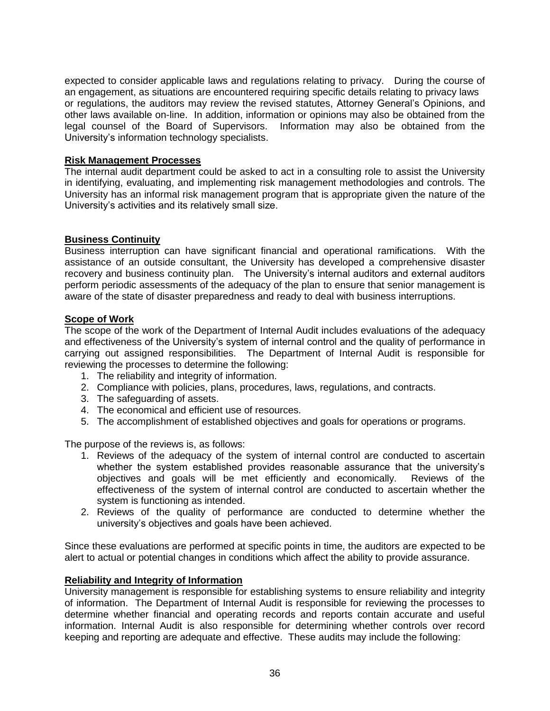expected to consider applicable laws and regulations relating to privacy. During the course of an engagement, as situations are encountered requiring specific details relating to privacy laws or regulations, the auditors may review the revised statutes, Attorney General's Opinions, and other laws available on-line. In addition, information or opinions may also be obtained from the legal counsel of the Board of Supervisors. Information may also be obtained from the University's information technology specialists.

#### **Risk Management Processes**

The internal audit department could be asked to act in a consulting role to assist the University in identifying, evaluating, and implementing risk management methodologies and controls. The University has an informal risk management program that is appropriate given the nature of the University's activities and its relatively small size.

#### **Business Continuity**

Business interruption can have significant financial and operational ramifications. With the assistance of an outside consultant, the University has developed a comprehensive disaster recovery and business continuity plan. The University's internal auditors and external auditors perform periodic assessments of the adequacy of the plan to ensure that senior management is aware of the state of disaster preparedness and ready to deal with business interruptions.

#### **Scope of Work**

The scope of the work of the Department of Internal Audit includes evaluations of the adequacy and effectiveness of the University's system of internal control and the quality of performance in carrying out assigned responsibilities. The Department of Internal Audit is responsible for reviewing the processes to determine the following:

- 1. The reliability and integrity of information.
- 2. Compliance with policies, plans, procedures, laws, regulations, and contracts.
- 3. The safeguarding of assets.
- 4. The economical and efficient use of resources.
- 5. The accomplishment of established objectives and goals for operations or programs.

The purpose of the reviews is, as follows:

- 1. Reviews of the adequacy of the system of internal control are conducted to ascertain whether the system established provides reasonable assurance that the university's objectives and goals will be met efficiently and economically. Reviews of the effectiveness of the system of internal control are conducted to ascertain whether the system is functioning as intended.
- 2. Reviews of the quality of performance are conducted to determine whether the university's objectives and goals have been achieved.

Since these evaluations are performed at specific points in time, the auditors are expected to be alert to actual or potential changes in conditions which affect the ability to provide assurance.

#### **Reliability and Integrity of Information**

University management is responsible for establishing systems to ensure reliability and integrity of information. The Department of Internal Audit is responsible for reviewing the processes to determine whether financial and operating records and reports contain accurate and useful information. Internal Audit is also responsible for determining whether controls over record keeping and reporting are adequate and effective. These audits may include the following: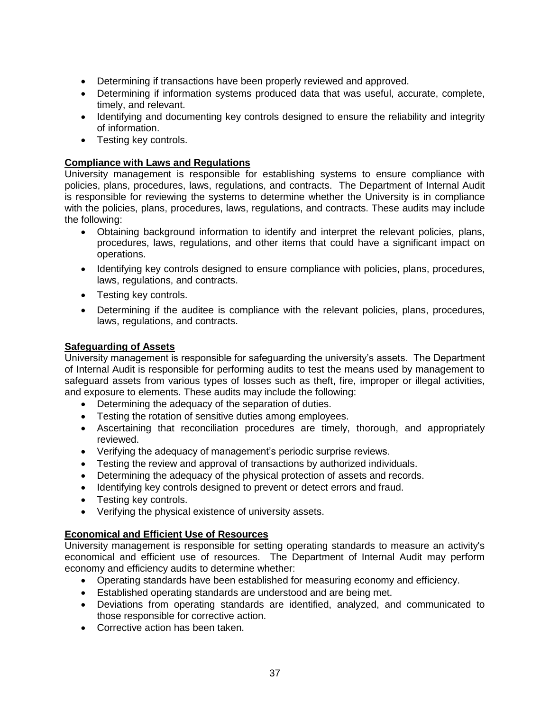- Determining if transactions have been properly reviewed and approved.
- Determining if information systems produced data that was useful, accurate, complete, timely, and relevant.
- Identifying and documenting key controls designed to ensure the reliability and integrity of information.
- Testing key controls.

## **Compliance with Laws and Regulations**

University management is responsible for establishing systems to ensure compliance with policies, plans, procedures, laws, regulations, and contracts. The Department of Internal Audit is responsible for reviewing the systems to determine whether the University is in compliance with the policies, plans, procedures, laws, regulations, and contracts. These audits may include the following:

- Obtaining background information to identify and interpret the relevant policies, plans, procedures, laws, regulations, and other items that could have a significant impact on operations.
- Identifying key controls designed to ensure compliance with policies, plans, procedures, laws, regulations, and contracts.
- Testing key controls.
- Determining if the auditee is compliance with the relevant policies, plans, procedures, laws, regulations, and contracts.

#### **Safeguarding of Assets**

University management is responsible for safeguarding the university's assets. The Department of Internal Audit is responsible for performing audits to test the means used by management to safeguard assets from various types of losses such as theft, fire, improper or illegal activities, and exposure to elements. These audits may include the following:

- Determining the adequacy of the separation of duties.
- Testing the rotation of sensitive duties among employees.
- Ascertaining that reconciliation procedures are timely, thorough, and appropriately reviewed.
- Verifying the adequacy of management's periodic surprise reviews.
- Testing the review and approval of transactions by authorized individuals.
- Determining the adequacy of the physical protection of assets and records.
- Identifying key controls designed to prevent or detect errors and fraud.
- Testing key controls.
- Verifying the physical existence of university assets.

#### **Economical and Efficient Use of Resources**

University management is responsible for setting operating standards to measure an activity's economical and efficient use of resources. The Department of Internal Audit may perform economy and efficiency audits to determine whether:

- Operating standards have been established for measuring economy and efficiency.
- Established operating standards are understood and are being met.
- Deviations from operating standards are identified, analyzed, and communicated to those responsible for corrective action.
- Corrective action has been taken.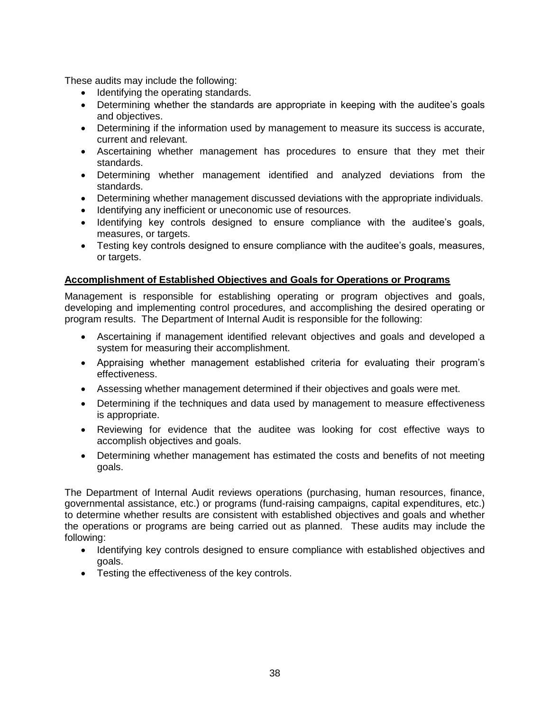These audits may include the following:

- Identifying the operating standards.
- Determining whether the standards are appropriate in keeping with the auditee's goals and objectives.
- Determining if the information used by management to measure its success is accurate, current and relevant.
- Ascertaining whether management has procedures to ensure that they met their standards.
- Determining whether management identified and analyzed deviations from the standards.
- Determining whether management discussed deviations with the appropriate individuals.
- Identifying any inefficient or uneconomic use of resources.
- Identifying key controls designed to ensure compliance with the auditee's goals, measures, or targets.
- Testing key controls designed to ensure compliance with the auditee's goals, measures, or targets.

#### **Accomplishment of Established Objectives and Goals for Operations or Programs**

Management is responsible for establishing operating or program objectives and goals, developing and implementing control procedures, and accomplishing the desired operating or program results. The Department of Internal Audit is responsible for the following:

- Ascertaining if management identified relevant objectives and goals and developed a system for measuring their accomplishment.
- Appraising whether management established criteria for evaluating their program's effectiveness.
- Assessing whether management determined if their objectives and goals were met.
- Determining if the techniques and data used by management to measure effectiveness is appropriate.
- Reviewing for evidence that the auditee was looking for cost effective ways to accomplish objectives and goals.
- Determining whether management has estimated the costs and benefits of not meeting goals.

The Department of Internal Audit reviews operations (purchasing, human resources, finance, governmental assistance, etc.) or programs (fund-raising campaigns, capital expenditures, etc.) to determine whether results are consistent with established objectives and goals and whether the operations or programs are being carried out as planned. These audits may include the following:

- Identifying key controls designed to ensure compliance with established objectives and goals.
- **•** Testing the effectiveness of the key controls.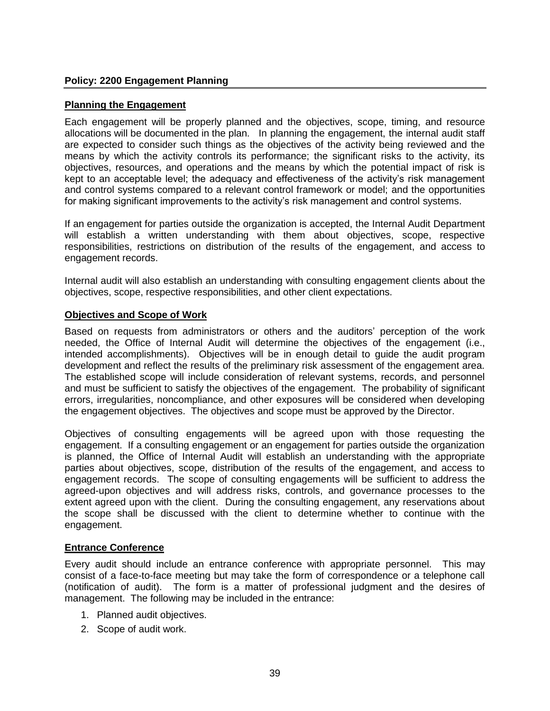#### <span id="page-41-0"></span>**Policy: 2200 Engagement Planning**

#### **Planning the Engagement**

Each engagement will be properly planned and the objectives, scope, timing, and resource allocations will be documented in the plan. In planning the engagement, the internal audit staff are expected to consider such things as the objectives of the activity being reviewed and the means by which the activity controls its performance; the significant risks to the activity, its objectives, resources, and operations and the means by which the potential impact of risk is kept to an acceptable level; the adequacy and effectiveness of the activity's risk management and control systems compared to a relevant control framework or model; and the opportunities for making significant improvements to the activity's risk management and control systems.

If an engagement for parties outside the organization is accepted, the Internal Audit Department will establish a written understanding with them about objectives, scope, respective responsibilities, restrictions on distribution of the results of the engagement, and access to engagement records.

Internal audit will also establish an understanding with consulting engagement clients about the objectives, scope, respective responsibilities, and other client expectations.

#### **Objectives and Scope of Work**

Based on requests from administrators or others and the auditors' perception of the work needed, the Office of Internal Audit will determine the objectives of the engagement (i.e., intended accomplishments). Objectives will be in enough detail to guide the audit program development and reflect the results of the preliminary risk assessment of the engagement area. The established scope will include consideration of relevant systems, records, and personnel and must be sufficient to satisfy the objectives of the engagement. The probability of significant errors, irregularities, noncompliance, and other exposures will be considered when developing the engagement objectives. The objectives and scope must be approved by the Director.

Objectives of consulting engagements will be agreed upon with those requesting the engagement. If a consulting engagement or an engagement for parties outside the organization is planned, the Office of Internal Audit will establish an understanding with the appropriate parties about objectives, scope, distribution of the results of the engagement, and access to engagement records. The scope of consulting engagements will be sufficient to address the agreed-upon objectives and will address risks, controls, and governance processes to the extent agreed upon with the client. During the consulting engagement, any reservations about the scope shall be discussed with the client to determine whether to continue with the engagement.

#### **Entrance Conference**

Every audit should include an entrance conference with appropriate personnel. This may consist of a face-to-face meeting but may take the form of correspondence or a telephone call (notification of audit). The form is a matter of professional judgment and the desires of management. The following may be included in the entrance:

- 1. Planned audit objectives.
- 2. Scope of audit work.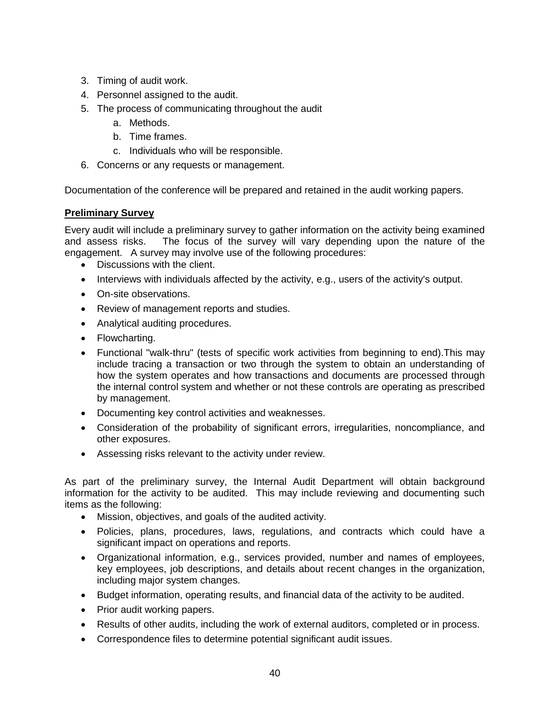- 3. Timing of audit work.
- 4. Personnel assigned to the audit.
- 5. The process of communicating throughout the audit
	- a. Methods.
	- b. Time frames.
	- c. Individuals who will be responsible.
- 6. Concerns or any requests or management.

Documentation of the conference will be prepared and retained in the audit working papers.

#### **Preliminary Survey**

Every audit will include a preliminary survey to gather information on the activity being examined and assess risks. The focus of the survey will vary depending upon the nature of the engagement. A survey may involve use of the following procedures:

- Discussions with the client.
- Interviews with individuals affected by the activity, e.g., users of the activity's output.
- On-site observations.
- Review of management reports and studies.
- Analytical auditing procedures.
- Flowcharting.
- Functional "walk-thru" (tests of specific work activities from beginning to end).This may include tracing a transaction or two through the system to obtain an understanding of how the system operates and how transactions and documents are processed through the internal control system and whether or not these controls are operating as prescribed by management.
- Documenting key control activities and weaknesses.
- Consideration of the probability of significant errors, irregularities, noncompliance, and other exposures.
- Assessing risks relevant to the activity under review.

As part of the preliminary survey, the Internal Audit Department will obtain background information for the activity to be audited. This may include reviewing and documenting such items as the following:

- Mission, objectives, and goals of the audited activity.
- Policies, plans, procedures, laws, regulations, and contracts which could have a significant impact on operations and reports.
- Organizational information, e.g., services provided, number and names of employees, key employees, job descriptions, and details about recent changes in the organization, including major system changes.
- Budget information, operating results, and financial data of the activity to be audited.
- Prior audit working papers.
- Results of other audits, including the work of external auditors, completed or in process.
- Correspondence files to determine potential significant audit issues.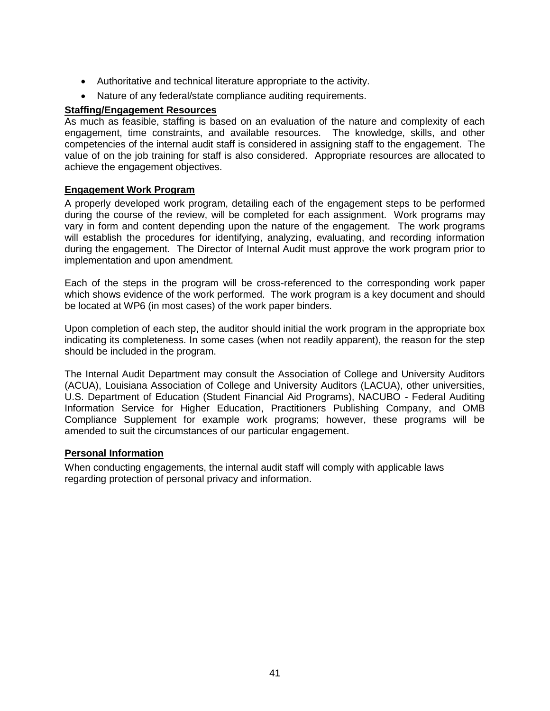- Authoritative and technical literature appropriate to the activity.
- Nature of any federal/state compliance auditing requirements.

#### **Staffing/Engagement Resources**

As much as feasible, staffing is based on an evaluation of the nature and complexity of each engagement, time constraints, and available resources. The knowledge, skills, and other competencies of the internal audit staff is considered in assigning staff to the engagement. The value of on the job training for staff is also considered. Appropriate resources are allocated to achieve the engagement objectives.

#### **Engagement Work Program**

A properly developed work program, detailing each of the engagement steps to be performed during the course of the review, will be completed for each assignment. Work programs may vary in form and content depending upon the nature of the engagement. The work programs will establish the procedures for identifying, analyzing, evaluating, and recording information during the engagement. The Director of Internal Audit must approve the work program prior to implementation and upon amendment.

Each of the steps in the program will be cross-referenced to the corresponding work paper which shows evidence of the work performed. The work program is a key document and should be located at WP6 (in most cases) of the work paper binders.

Upon completion of each step, the auditor should initial the work program in the appropriate box indicating its completeness. In some cases (when not readily apparent), the reason for the step should be included in the program.

The Internal Audit Department may consult the Association of College and University Auditors (ACUA), Louisiana Association of College and University Auditors (LACUA), other universities, U.S. Department of Education (Student Financial Aid Programs), NACUBO - Federal Auditing Information Service for Higher Education, Practitioners Publishing Company, and OMB Compliance Supplement for example work programs; however, these programs will be amended to suit the circumstances of our particular engagement.

#### **Personal Information**

When conducting engagements, the internal audit staff will comply with applicable laws regarding protection of personal privacy and information.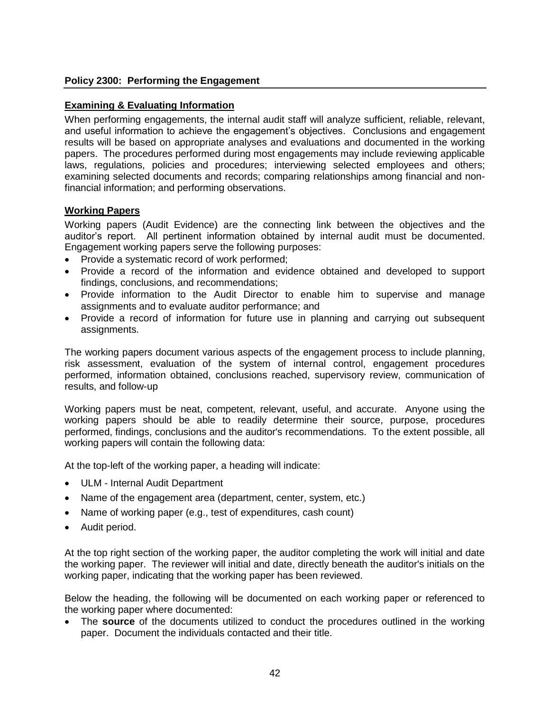#### <span id="page-44-0"></span>**Policy 2300: Performing the Engagement**

#### **Examining & Evaluating Information**

When performing engagements, the internal audit staff will analyze sufficient, reliable, relevant, and useful information to achieve the engagement's objectives. Conclusions and engagement results will be based on appropriate analyses and evaluations and documented in the working papers. The procedures performed during most engagements may include reviewing applicable laws, regulations, policies and procedures; interviewing selected employees and others; examining selected documents and records; comparing relationships among financial and nonfinancial information; and performing observations.

#### **Working Papers**

Working papers (Audit Evidence) are the connecting link between the objectives and the auditor's report. All pertinent information obtained by internal audit must be documented. Engagement working papers serve the following purposes:

- Provide a systematic record of work performed;
- Provide a record of the information and evidence obtained and developed to support findings, conclusions, and recommendations;
- Provide information to the Audit Director to enable him to supervise and manage assignments and to evaluate auditor performance; and
- Provide a record of information for future use in planning and carrying out subsequent assignments.

The working papers document various aspects of the engagement process to include planning, risk assessment, evaluation of the system of internal control, engagement procedures performed, information obtained, conclusions reached, supervisory review, communication of results, and follow-up

Working papers must be neat, competent, relevant, useful, and accurate. Anyone using the working papers should be able to readily determine their source, purpose, procedures performed, findings, conclusions and the auditor's recommendations. To the extent possible, all working papers will contain the following data:

At the top-left of the working paper, a heading will indicate:

- ULM Internal Audit Department
- Name of the engagement area (department, center, system, etc.)
- Name of working paper (e.g., test of expenditures, cash count)
- Audit period.

At the top right section of the working paper, the auditor completing the work will initial and date the working paper. The reviewer will initial and date, directly beneath the auditor's initials on the working paper, indicating that the working paper has been reviewed.

Below the heading, the following will be documented on each working paper or referenced to the working paper where documented:

 The **source** of the documents utilized to conduct the procedures outlined in the working paper. Document the individuals contacted and their title.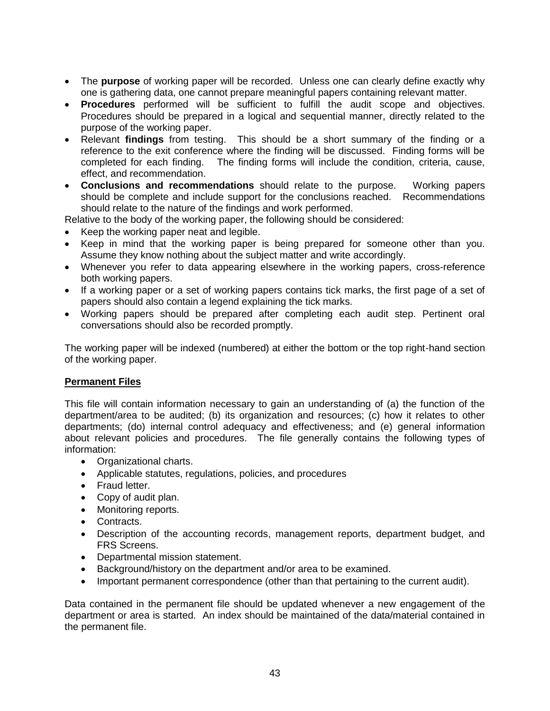- The **purpose** of working paper will be recorded. Unless one can clearly define exactly why one is gathering data, one cannot prepare meaningful papers containing relevant matter.
- **Procedures** performed will be sufficient to fulfill the audit scope and objectives. Procedures should be prepared in a logical and sequential manner, directly related to the purpose of the working paper.
- Relevant **findings** from testing. This should be a short summary of the finding or a reference to the exit conference where the finding will be discussed. Finding forms will be completed for each finding. The finding forms will include the condition, criteria, cause, effect, and recommendation.
- **Conclusions and recommendations** should relate to the purpose. Working papers should be complete and include support for the conclusions reached. Recommendations should relate to the nature of the findings and work performed.

Relative to the body of the working paper, the following should be considered:

- Keep the working paper neat and legible.
- Keep in mind that the working paper is being prepared for someone other than you. Assume they know nothing about the subject matter and write accordingly.
- Whenever you refer to data appearing elsewhere in the working papers, cross-reference both working papers.
- If a working paper or a set of working papers contains tick marks, the first page of a set of papers should also contain a legend explaining the tick marks.
- Working papers should be prepared after completing each audit step. Pertinent oral conversations should also be recorded promptly.

The working paper will be indexed (numbered) at either the bottom or the top right-hand section of the working paper.

#### **Permanent Files**

This file will contain information necessary to gain an understanding of (a) the function of the department/area to be audited; (b) its organization and resources; (c) how it relates to other departments; (do) internal control adequacy and effectiveness; and (e) general information about relevant policies and procedures. The file generally contains the following types of information:

- Organizational charts.
- Applicable statutes, regulations, policies, and procedures
- Fraud letter.
- Copy of audit plan.
- Monitoring reports.
- Contracts.
- Description of the accounting records, management reports, department budget, and FRS Screens.
- Departmental mission statement.
- Background/history on the department and/or area to be examined.
- Important permanent correspondence (other than that pertaining to the current audit).

Data contained in the permanent file should be updated whenever a new engagement of the department or area is started. An index should be maintained of the data/material contained in the permanent file.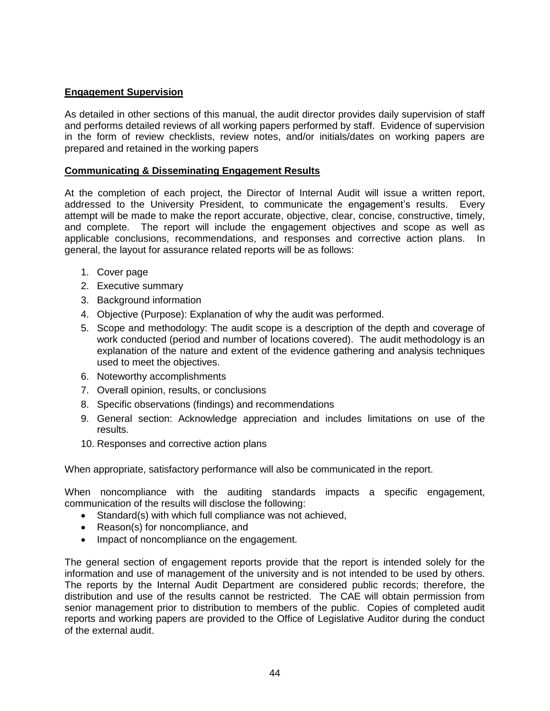#### **Engagement Supervision**

As detailed in other sections of this manual, the audit director provides daily supervision of staff and performs detailed reviews of all working papers performed by staff. Evidence of supervision in the form of review checklists, review notes, and/or initials/dates on working papers are prepared and retained in the working papers

#### **Communicating & Disseminating Engagement Results**

At the completion of each project, the Director of Internal Audit will issue a written report, addressed to the University President, to communicate the engagement's results. Every attempt will be made to make the report accurate, objective, clear, concise, constructive, timely, and complete. The report will include the engagement objectives and scope as well as applicable conclusions, recommendations, and responses and corrective action plans. In general, the layout for assurance related reports will be as follows:

- 1. Cover page
- 2. Executive summary
- 3. Background information
- 4. Objective (Purpose): Explanation of why the audit was performed.
- 5. Scope and methodology: The audit scope is a description of the depth and coverage of work conducted (period and number of locations covered). The audit methodology is an explanation of the nature and extent of the evidence gathering and analysis techniques used to meet the objectives.
- 6. Noteworthy accomplishments
- 7. Overall opinion, results, or conclusions
- 8. Specific observations (findings) and recommendations
- 9. General section: Acknowledge appreciation and includes limitations on use of the results.
- 10. Responses and corrective action plans

When appropriate, satisfactory performance will also be communicated in the report.

When noncompliance with the auditing standards impacts a specific engagement, communication of the results will disclose the following:

- Standard(s) with which full compliance was not achieved,
- Reason(s) for noncompliance, and
- Impact of noncompliance on the engagement.

The general section of engagement reports provide that the report is intended solely for the information and use of management of the university and is not intended to be used by others. The reports by the Internal Audit Department are considered public records; therefore, the distribution and use of the results cannot be restricted. The CAE will obtain permission from senior management prior to distribution to members of the public. Copies of completed audit reports and working papers are provided to the Office of Legislative Auditor during the conduct of the external audit.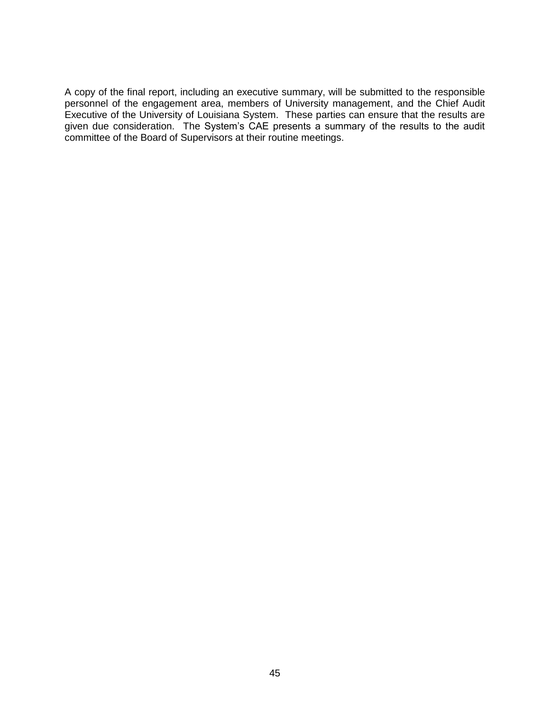A copy of the final report, including an executive summary, will be submitted to the responsible personnel of the engagement area, members of University management, and the Chief Audit Executive of the University of Louisiana System. These parties can ensure that the results are given due consideration. The System's CAE presents a summary of the results to the audit committee of the Board of Supervisors at their routine meetings.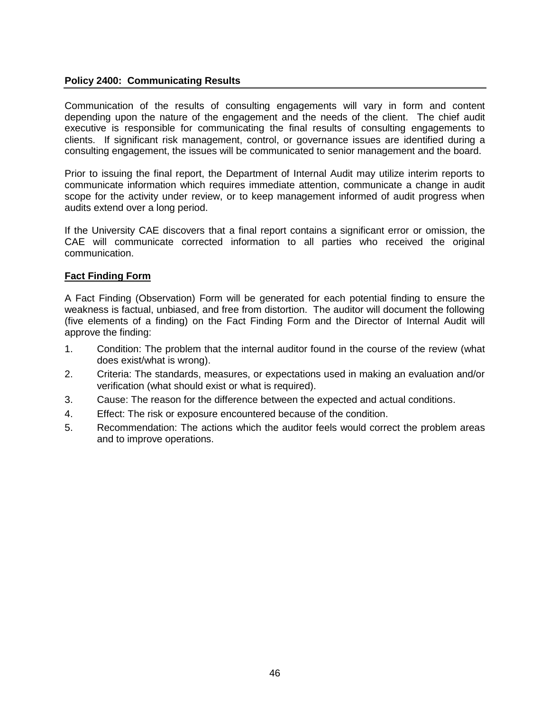#### <span id="page-48-0"></span>**Policy 2400: Communicating Results**

Communication of the results of consulting engagements will vary in form and content depending upon the nature of the engagement and the needs of the client. The chief audit executive is responsible for communicating the final results of consulting engagements to clients. If significant risk management, control, or governance issues are identified during a consulting engagement, the issues will be communicated to senior management and the board.

Prior to issuing the final report, the Department of Internal Audit may utilize interim reports to communicate information which requires immediate attention, communicate a change in audit scope for the activity under review, or to keep management informed of audit progress when audits extend over a long period.

If the University CAE discovers that a final report contains a significant error or omission, the CAE will communicate corrected information to all parties who received the original communication.

#### **Fact Finding Form**

A Fact Finding (Observation) Form will be generated for each potential finding to ensure the weakness is factual, unbiased, and free from distortion. The auditor will document the following (five elements of a finding) on the Fact Finding Form and the Director of Internal Audit will approve the finding:

- 1. Condition: The problem that the internal auditor found in the course of the review (what does exist/what is wrong).
- 2. Criteria: The standards, measures, or expectations used in making an evaluation and/or verification (what should exist or what is required).
- 3. Cause: The reason for the difference between the expected and actual conditions.
- 4. Effect: The risk or exposure encountered because of the condition.
- 5. Recommendation: The actions which the auditor feels would correct the problem areas and to improve operations.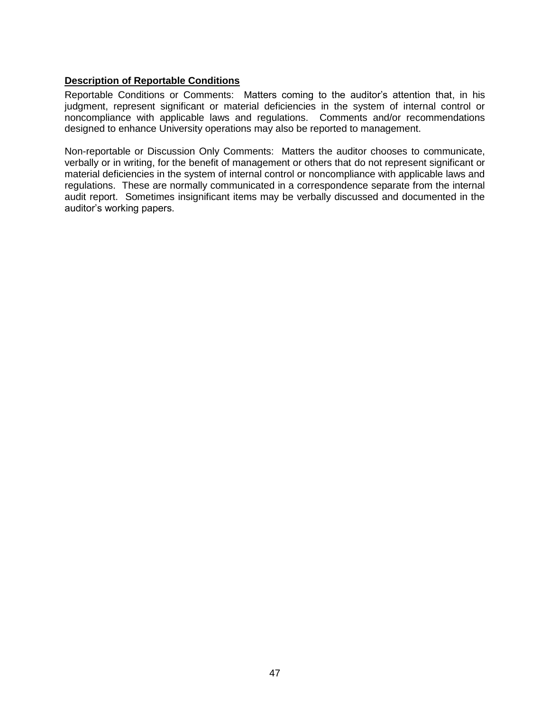#### **Description of Reportable Conditions**

Reportable Conditions or Comments: Matters coming to the auditor's attention that, in his judgment, represent significant or material deficiencies in the system of internal control or noncompliance with applicable laws and regulations. Comments and/or recommendations designed to enhance University operations may also be reported to management.

Non-reportable or Discussion Only Comments: Matters the auditor chooses to communicate, verbally or in writing, for the benefit of management or others that do not represent significant or material deficiencies in the system of internal control or noncompliance with applicable laws and regulations. These are normally communicated in a correspondence separate from the internal audit report. Sometimes insignificant items may be verbally discussed and documented in the auditor's working papers.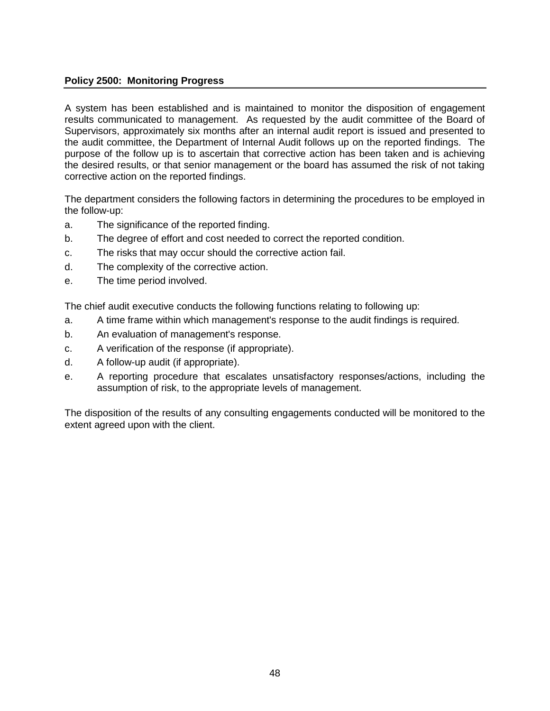#### <span id="page-50-0"></span>**Policy 2500: Monitoring Progress**

A system has been established and is maintained to monitor the disposition of engagement results communicated to management. As requested by the audit committee of the Board of Supervisors, approximately six months after an internal audit report is issued and presented to the audit committee, the Department of Internal Audit follows up on the reported findings. The purpose of the follow up is to ascertain that corrective action has been taken and is achieving the desired results, or that senior management or the board has assumed the risk of not taking corrective action on the reported findings.

The department considers the following factors in determining the procedures to be employed in the follow-up:

- a. The significance of the reported finding.
- b. The degree of effort and cost needed to correct the reported condition.
- c. The risks that may occur should the corrective action fail.
- d. The complexity of the corrective action.
- e. The time period involved.

The chief audit executive conducts the following functions relating to following up:

- a. A time frame within which management's response to the audit findings is required.
- b. An evaluation of management's response.
- c. A verification of the response (if appropriate).
- d. A follow-up audit (if appropriate).
- e. A reporting procedure that escalates unsatisfactory responses/actions, including the assumption of risk, to the appropriate levels of management.

The disposition of the results of any consulting engagements conducted will be monitored to the extent agreed upon with the client.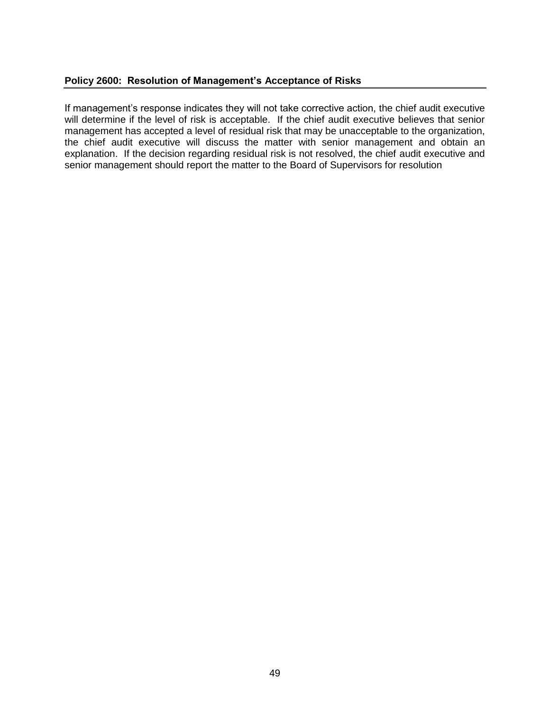#### <span id="page-51-0"></span>**Policy 2600: Resolution of Management's Acceptance of Risks**

If management's response indicates they will not take corrective action, the chief audit executive will determine if the level of risk is acceptable. If the chief audit executive believes that senior management has accepted a level of residual risk that may be unacceptable to the organization, the chief audit executive will discuss the matter with senior management and obtain an explanation. If the decision regarding residual risk is not resolved, the chief audit executive and senior management should report the matter to the Board of Supervisors for resolution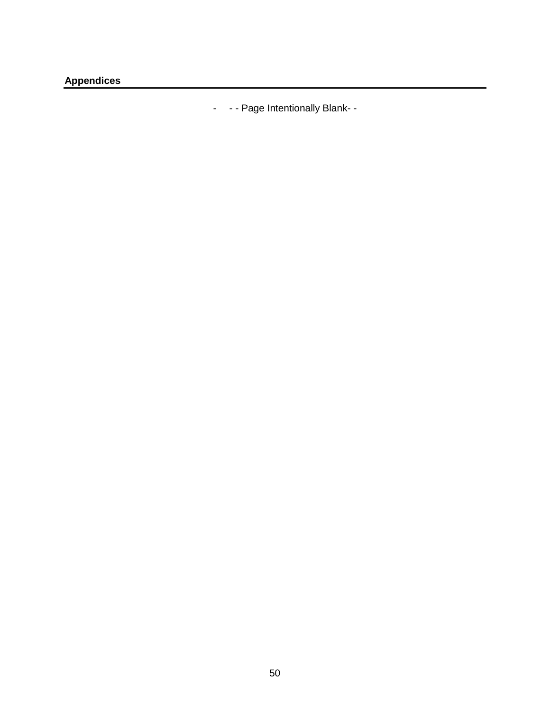- - - Page Intentionally Blank- -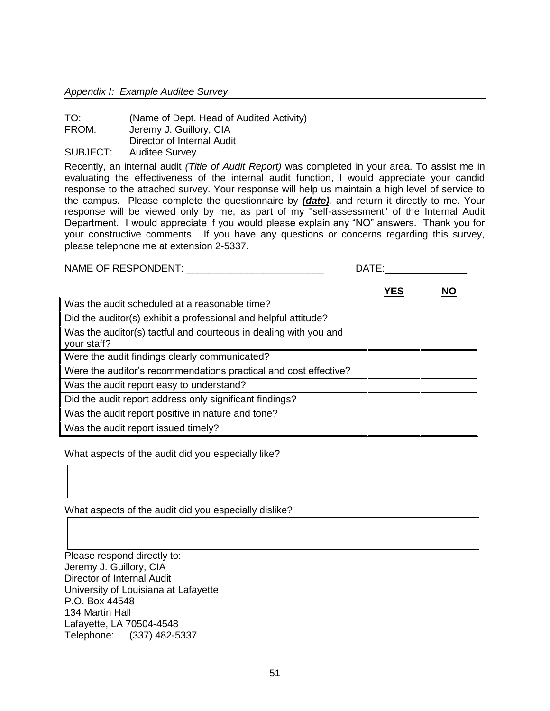#### *Appendix I: Example Auditee Survey*

TO: (Name of Dept. Head of Audited Activity) FROM: Jeremy J. Guillory, CIA Director of Internal Audit SUBJECT: Auditee Survey

Recently, an internal audit *(Title of Audit Report)* was completed in your area. To assist me in evaluating the effectiveness of the internal audit function, I would appreciate your candid response to the attached survey. Your response will help us maintain a high level of service to the campus. Please complete the questionnaire by *(date),* and return it directly to me. Your response will be viewed only by me, as part of my "self-assessment" of the Internal Audit Department. I would appreciate if you would please explain any "NO" answers. Thank you for your constructive comments. If you have any questions or concerns regarding this survey, please telephone me at extension 2-5337.

| NAME OF RESPONDENT:                                                             | DATE:      |           |
|---------------------------------------------------------------------------------|------------|-----------|
|                                                                                 | <b>YES</b> | <b>NO</b> |
| Was the audit scheduled at a reasonable time?                                   |            |           |
| Did the auditor(s) exhibit a professional and helpful attitude?                 |            |           |
| Was the auditor(s) tactful and courteous in dealing with you and<br>your staff? |            |           |
| Were the audit findings clearly communicated?                                   |            |           |
| Were the auditor's recommendations practical and cost effective?                |            |           |
| Was the audit report easy to understand?                                        |            |           |
| Did the audit report address only significant findings?                         |            |           |
| Was the audit report positive in nature and tone?                               |            |           |
| Was the audit report issued timely?                                             |            |           |

What aspects of the audit did you especially like?

What aspects of the audit did you especially dislike?

Please respond directly to: Jeremy J. Guillory, CIA Director of Internal Audit University of Louisiana at Lafayette P.O. Box 44548 134 Martin Hall Lafayette, LA 70504-4548 Telephone: (337) 482-5337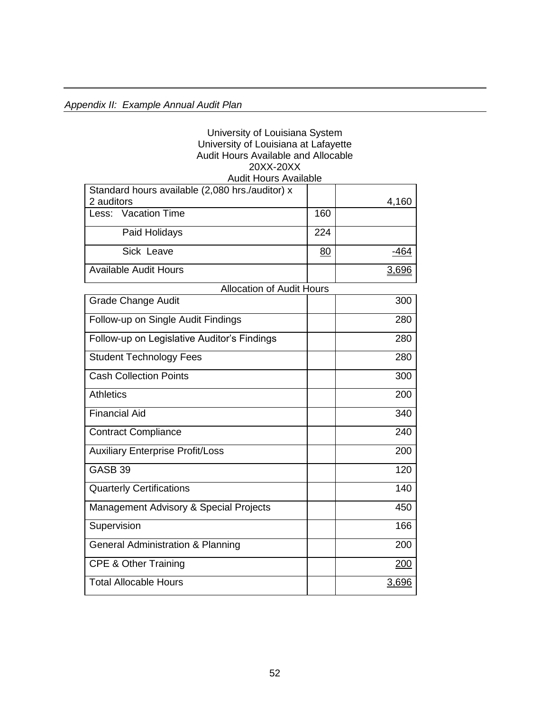## <span id="page-54-0"></span>*Appendix II: Example Annual Audit Plan*

| University of Louisiana System<br>University of Louisiana at Lafayette<br><b>Audit Hours Available and Allocable</b><br>20XX-20XX |     |        |
|-----------------------------------------------------------------------------------------------------------------------------------|-----|--------|
| <b>Audit Hours Available</b>                                                                                                      |     |        |
| Standard hours available (2,080 hrs./auditor) x<br>2 auditors                                                                     |     | 4,160  |
| <b>Vacation Time</b><br>Less:                                                                                                     | 160 |        |
| Paid Holidays                                                                                                                     | 224 |        |
| Sick Leave                                                                                                                        | 80  | $-464$ |
| <b>Available Audit Hours</b>                                                                                                      |     | 3,696  |
| <b>Allocation of Audit Hours</b>                                                                                                  |     |        |
| <b>Grade Change Audit</b>                                                                                                         |     | 300    |
| Follow-up on Single Audit Findings                                                                                                |     | 280    |
| Follow-up on Legislative Auditor's Findings                                                                                       |     | 280    |
| <b>Student Technology Fees</b>                                                                                                    |     | 280    |
| <b>Cash Collection Points</b>                                                                                                     |     | 300    |
| <b>Athletics</b>                                                                                                                  |     | 200    |
| <b>Financial Aid</b>                                                                                                              |     | 340    |
| <b>Contract Compliance</b>                                                                                                        |     | 240    |
| <b>Auxiliary Enterprise Profit/Loss</b>                                                                                           |     | 200    |
| GASB <sub>39</sub>                                                                                                                |     | 120    |
| <b>Quarterly Certifications</b>                                                                                                   |     | 140    |
| Management Advisory & Special Projects                                                                                            |     | 450    |
| Supervision                                                                                                                       |     | 166    |
| <b>General Administration &amp; Planning</b>                                                                                      |     | 200    |
| <b>CPE &amp; Other Training</b>                                                                                                   |     | 200    |
| <b>Total Allocable Hours</b>                                                                                                      |     | 3,696  |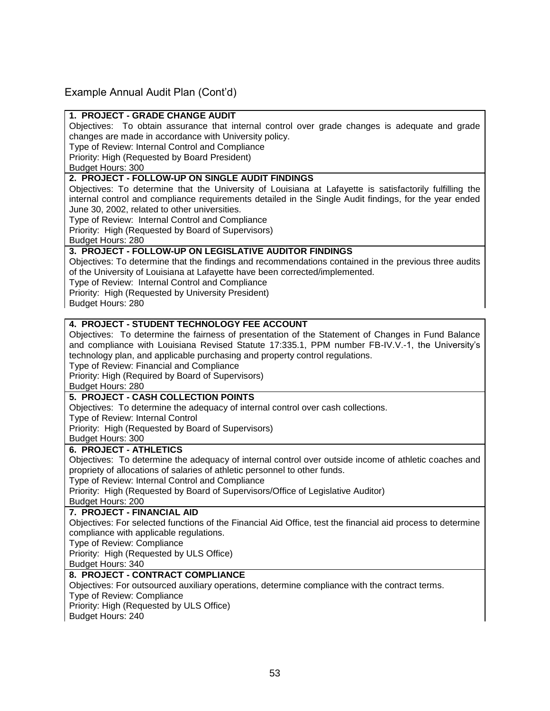Example Annual Audit Plan (Cont'd)

#### **1. PROJECT - GRADE CHANGE AUDIT**

Objectives: To obtain assurance that internal control over grade changes is adequate and grade changes are made in accordance with University policy.

Type of Review: Internal Control and Compliance

Priority: High (Requested by Board President)

Budget Hours: 300

#### **2. PROJECT - FOLLOW-UP ON SINGLE AUDIT FINDINGS**

Objectives: To determine that the University of Louisiana at Lafayette is satisfactorily fulfilling the internal control and compliance requirements detailed in the Single Audit findings, for the year ended June 30, 2002, related to other universities.

Type of Review: Internal Control and Compliance

Priority: High (Requested by Board of Supervisors)

Budget Hours: 280

#### **3. PROJECT - FOLLOW-UP ON LEGISLATIVE AUDITOR FINDINGS**

Objectives: To determine that the findings and recommendations contained in the previous three audits of the University of Louisiana at Lafayette have been corrected/implemented.

Type of Review: Internal Control and Compliance

Priority: High (Requested by University President)

Budget Hours: 280

#### **4. PROJECT - STUDENT TECHNOLOGY FEE ACCOUNT**

Objectives: To determine the fairness of presentation of the Statement of Changes in Fund Balance and compliance with Louisiana Revised Statute 17:335.1, PPM number FB-IV.V.-1, the University's technology plan, and applicable purchasing and property control regulations.

Type of Review: Financial and Compliance

Priority: High (Required by Board of Supervisors)

Budget Hours: 280

#### **5. PROJECT - CASH COLLECTION POINTS**

Objectives: To determine the adequacy of internal control over cash collections.

Type of Review: Internal Control

Priority: High (Requested by Board of Supervisors)

Budget Hours: 300

#### **6. PROJECT - ATHLETICS**

Objectives: To determine the adequacy of internal control over outside income of athletic coaches and propriety of allocations of salaries of athletic personnel to other funds.

Type of Review: Internal Control and Compliance

Priority: High (Requested by Board of Supervisors/Office of Legislative Auditor)

Budget Hours: 200

#### **7. PROJECT - FINANCIAL AID**

Objectives: For selected functions of the Financial Aid Office, test the financial aid process to determine compliance with applicable regulations.

Type of Review: Compliance

Priority: High (Requested by ULS Office)

Budget Hours: 340

#### **8. PROJECT - CONTRACT COMPLIANCE**

Objectives: For outsourced auxiliary operations, determine compliance with the contract terms.

Type of Review: Compliance

Priority: High (Requested by ULS Office)

Budget Hours: 240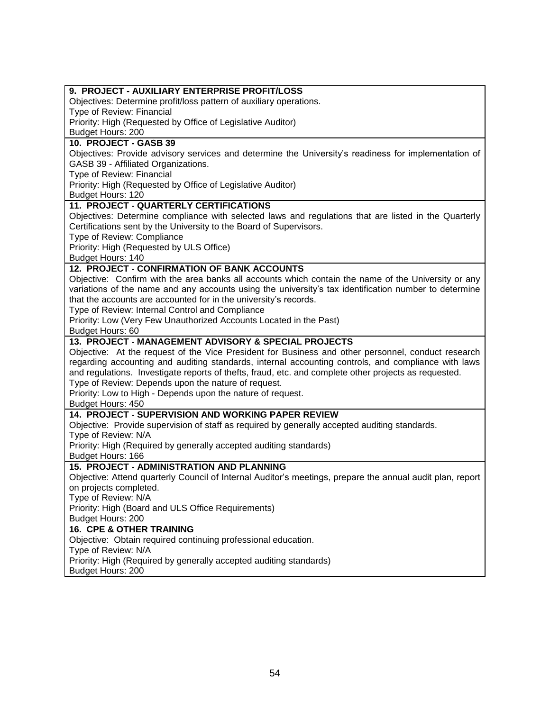| Objectives: Determine profit/loss pattern of auxiliary operations.                                        |
|-----------------------------------------------------------------------------------------------------------|
| Type of Review: Financial                                                                                 |
| Priority: High (Requested by Office of Legislative Auditor)                                               |
| <b>Budget Hours: 200</b>                                                                                  |
| 10. PROJECT - GASB 39                                                                                     |
| Objectives: Provide advisory services and determine the University's readiness for implementation of      |
| GASB 39 - Affiliated Organizations.                                                                       |
| Type of Review: Financial                                                                                 |
| Priority: High (Requested by Office of Legislative Auditor)                                               |
| Budget Hours: 120                                                                                         |
| 11. PROJECT - QUARTERLY CERTIFICATIONS                                                                    |
| Objectives: Determine compliance with selected laws and regulations that are listed in the Quarterly      |
| Certifications sent by the University to the Board of Supervisors.                                        |
| Type of Review: Compliance                                                                                |
| Priority: High (Requested by ULS Office)                                                                  |
| Budget Hours: 140                                                                                         |
| <b>12. PROJECT - CONFIRMATION OF BANK ACCOUNTS</b>                                                        |
| Objective: Confirm with the area banks all accounts which contain the name of the University or any       |
| variations of the name and any accounts using the university's tax identification number to determine     |
| that the accounts are accounted for in the university's records.                                          |
| Type of Review: Internal Control and Compliance                                                           |
| Priority: Low (Very Few Unauthorized Accounts Located in the Past)                                        |
| Budget Hours: 60                                                                                          |
| 13. PROJECT - MANAGEMENT ADVISORY & SPECIAL PROJECTS                                                      |
|                                                                                                           |
| Objective: At the request of the Vice President for Business and other personnel, conduct research        |
| regarding accounting and auditing standards, internal accounting controls, and compliance with laws       |
| and regulations. Investigate reports of thefts, fraud, etc. and complete other projects as requested.     |
| Type of Review: Depends upon the nature of request.                                                       |
| Priority: Low to High - Depends upon the nature of request.                                               |
| Budget Hours: 450                                                                                         |
| 14. PROJECT - SUPERVISION AND WORKING PAPER REVIEW                                                        |
| Objective: Provide supervision of staff as required by generally accepted auditing standards.             |
| Type of Review: N/A                                                                                       |
| Priority: High (Required by generally accepted auditing standards)                                        |
| Budget Hours: 166                                                                                         |
| 15. PROJECT - ADMINISTRATION AND PLANNING                                                                 |
| Objective: Attend quarterly Council of Internal Auditor's meetings, prepare the annual audit plan, report |
| on projects completed.                                                                                    |
| Type of Review: N/A                                                                                       |
| Priority: High (Board and ULS Office Requirements)                                                        |
| Budget Hours: 200                                                                                         |
| <b>16. CPE &amp; OTHER TRAINING</b>                                                                       |
| Objective: Obtain required continuing professional education.                                             |
| Type of Review: N/A                                                                                       |
| Priority: High (Required by generally accepted auditing standards)<br>Budget Hours: 200                   |